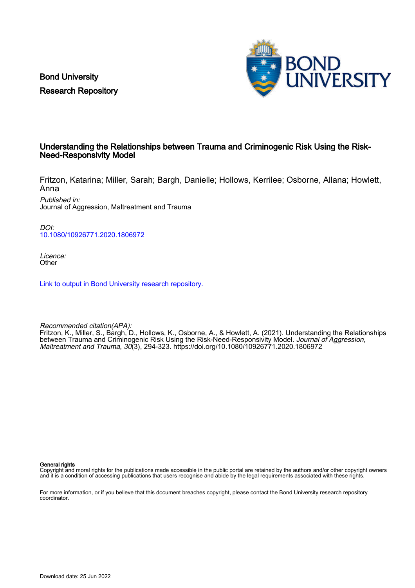Bond University Research Repository



# Understanding the Relationships between Trauma and Criminogenic Risk Using the Risk-Need-Responsivity Model

Fritzon, Katarina; Miller, Sarah; Bargh, Danielle; Hollows, Kerrilee; Osborne, Allana; Howlett, Anna

Published in: Journal of Aggression, Maltreatment and Trauma

DOI: [10.1080/10926771.2020.1806972](https://doi.org/10.1080/10926771.2020.1806972)

Licence: **Other** 

[Link to output in Bond University research repository.](https://research.bond.edu.au/en/publications/f9e40f20-8e0f-4e63-ad33-7de4524522b6)

Recommended citation(APA): Fritzon, K., Miller, S., Bargh, D., Hollows, K., Osborne, A., & Howlett, A. (2021). Understanding the Relationships between Trauma and Criminogenic Risk Using the Risk-Need-Responsivity Model. Journal of Aggression, Maltreatment and Trauma, 30(3), 294-323. <https://doi.org/10.1080/10926771.2020.1806972>

General rights

Copyright and moral rights for the publications made accessible in the public portal are retained by the authors and/or other copyright owners and it is a condition of accessing publications that users recognise and abide by the legal requirements associated with these rights.

For more information, or if you believe that this document breaches copyright, please contact the Bond University research repository coordinator.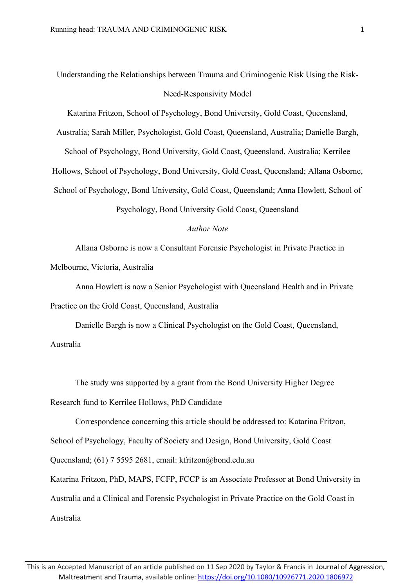# Understanding the Relationships between Trauma and Criminogenic Risk Using the Risk-Need-Responsivity Model

Katarina Fritzon, School of Psychology, Bond University, Gold Coast, Queensland,

Australia; Sarah Miller, Psychologist, Gold Coast, Queensland, Australia; Danielle Bargh,

School of Psychology, Bond University, Gold Coast, Queensland, Australia; Kerrilee Hollows, School of Psychology, Bond University, Gold Coast, Queensland; Allana Osborne, School of Psychology, Bond University, Gold Coast, Queensland; Anna Howlett, School of Psychology, Bond University Gold Coast, Queensland

## *Author Note*

Allana Osborne is now a Consultant Forensic Psychologist in Private Practice in Melbourne, Victoria, Australia

Anna Howlett is now a Senior Psychologist with Queensland Health and in Private Practice on the Gold Coast, Queensland, Australia

Danielle Bargh is now a Clinical Psychologist on the Gold Coast, Queensland, Australia

The study was supported by a grant from the Bond University Higher Degree Research fund to Kerrilee Hollows, PhD Candidate

Correspondence concerning this article should be addressed to: Katarina Fritzon, School of Psychology, Faculty of Society and Design, Bond University, Gold Coast Queensland; (61) 7 5595 2681, email: kfritzon@bond.edu.au Katarina Fritzon, PhD, MAPS, FCFP, FCCP is an Associate Professor at Bond University in Australia and a Clinical and Forensic Psychologist in Private Practice on the Gold Coast in Australia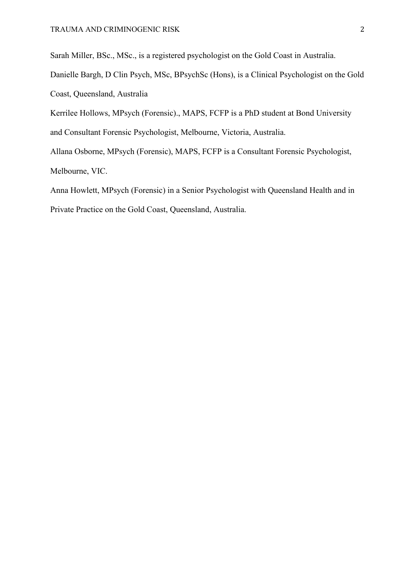Sarah Miller, BSc., MSc., is a registered psychologist on the Gold Coast in Australia.

Danielle Bargh, D Clin Psych, MSc, BPsychSc (Hons), is a Clinical Psychologist on the Gold Coast, Queensland, Australia

Kerrilee Hollows, MPsych (Forensic)., MAPS, FCFP is a PhD student at Bond University and Consultant Forensic Psychologist, Melbourne, Victoria, Australia.

Allana Osborne, MPsych (Forensic), MAPS, FCFP is a Consultant Forensic Psychologist, Melbourne, VIC.

Anna Howlett, MPsych (Forensic) in a Senior Psychologist with Queensland Health and in Private Practice on the Gold Coast, Queensland, Australia.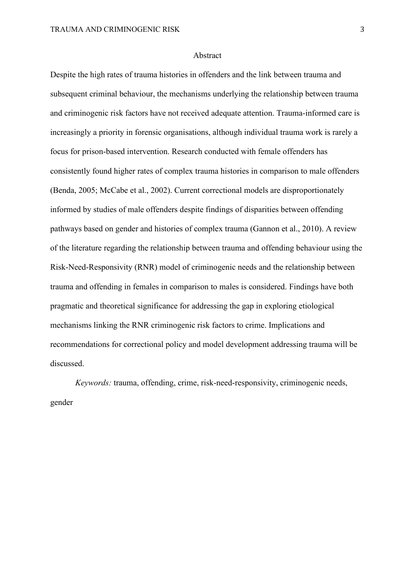#### Abstract

Despite the high rates of trauma histories in offenders and the link between trauma and subsequent criminal behaviour, the mechanisms underlying the relationship between trauma and criminogenic risk factors have not received adequate attention. Trauma-informed care is increasingly a priority in forensic organisations, although individual trauma work is rarely a focus for prison-based intervention. Research conducted with female offenders has consistently found higher rates of complex trauma histories in comparison to male offenders (Benda, 2005; McCabe et al., 2002). Current correctional models are disproportionately informed by studies of male offenders despite findings of disparities between offending pathways based on gender and histories of complex trauma (Gannon et al., 2010). A review of the literature regarding the relationship between trauma and offending behaviour using the Risk-Need-Responsivity (RNR) model of criminogenic needs and the relationship between trauma and offending in females in comparison to males is considered. Findings have both pragmatic and theoretical significance for addressing the gap in exploring etiological mechanisms linking the RNR criminogenic risk factors to crime. Implications and recommendations for correctional policy and model development addressing trauma will be discussed.

*Keywords:* trauma, offending, crime, risk-need-responsivity, criminogenic needs, gender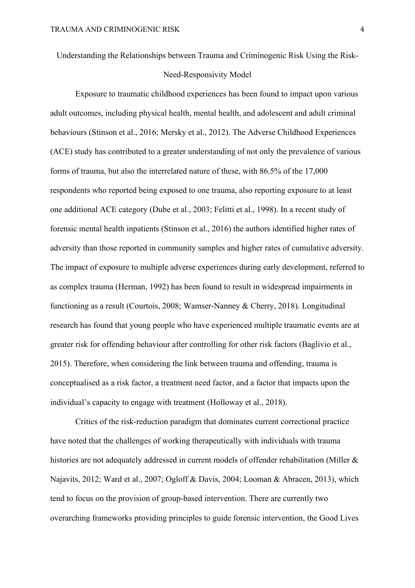Understanding the Relationships between Trauma and Criminogenic Risk Using the Risk-

# Need-Responsivity Model

Exposure to traumatic childhood experiences has been found to impact upon various adult outcomes, including physical health, mental health, and adolescent and adult criminal behaviours (Stinson et al., 2016; Mersky et al., 2012). The Adverse Childhood Experiences (ACE) study has contributed to a greater understanding of not only the prevalence of various forms of trauma, but also the interrelated nature of these, with 86.5% of the 17,000 respondents who reported being exposed to one trauma, also reporting exposure to at least one additional ACE category (Dube et al., 2003; Felitti et al., 1998). In a recent study of forensic mental health inpatients (Stinson et al., 2016) the authors identified higher rates of adversity than those reported in community samples and higher rates of cumulative adversity. The impact of exposure to multiple adverse experiences during early development, referred to as complex trauma (Herman, 1992) has been found to result in widespread impairments in functioning as a result (Courtois, 2008; Wamser-Nanney & Cherry, 2018). Longitudinal research has found that young people who have experienced multiple traumatic events are at greater risk for offending behaviour after controlling for other risk factors (Baglivio et al., 2015). Therefore, when considering the link between trauma and offending, trauma is conceptualised as a risk factor, a treatment need factor, and a factor that impacts upon the individual's capacity to engage with treatment (Holloway et al., 2018).

Critics of the risk-reduction paradigm that dominates current correctional practice have noted that the challenges of working therapeutically with individuals with trauma histories are not adequately addressed in current models of offender rehabilitation (Miller & Najavits, 2012; Ward et al., 2007; Ogloff & Davis, 2004; Looman & Abracen, 2013), which tend to focus on the provision of group-based intervention. There are currently two overarching frameworks providing principles to guide forensic intervention, the Good Lives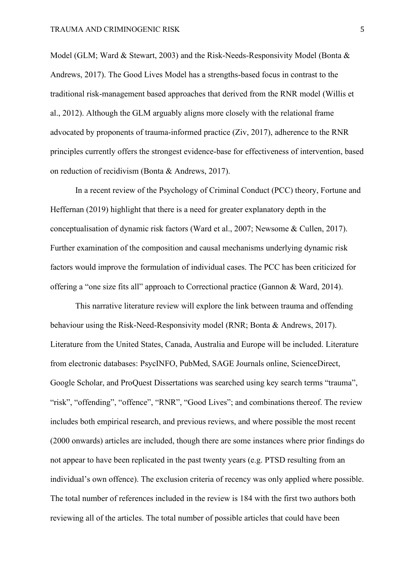Model (GLM; Ward & Stewart, 2003) and the Risk-Needs-Responsivity Model (Bonta & Andrews, 2017). The Good Lives Model has a strengths-based focus in contrast to the traditional risk-management based approaches that derived from the RNR model (Willis et al., 2012). Although the GLM arguably aligns more closely with the relational frame advocated by proponents of trauma-informed practice (Ziv, 2017), adherence to the RNR principles currently offers the strongest evidence-base for effectiveness of intervention, based on reduction of recidivism (Bonta & Andrews, 2017).

In a recent review of the Psychology of Criminal Conduct (PCC) theory, Fortune and Heffernan (2019) highlight that there is a need for greater explanatory depth in the conceptualisation of dynamic risk factors (Ward et al., 2007; Newsome & Cullen, 2017). Further examination of the composition and causal mechanisms underlying dynamic risk factors would improve the formulation of individual cases. The PCC has been criticized for offering a "one size fits all" approach to Correctional practice (Gannon & Ward, 2014).

This narrative literature review will explore the link between trauma and offending behaviour using the Risk-Need-Responsivity model (RNR; Bonta & Andrews, 2017). Literature from the United States, Canada, Australia and Europe will be included. Literature from electronic databases: PsycINFO, PubMed, SAGE Journals online, ScienceDirect, Google Scholar, and ProQuest Dissertations was searched using key search terms "trauma", "risk", "offending", "offence", "RNR", "Good Lives"; and combinations thereof. The review includes both empirical research, and previous reviews, and where possible the most recent (2000 onwards) articles are included, though there are some instances where prior findings do not appear to have been replicated in the past twenty years (e.g. PTSD resulting from an individual's own offence). The exclusion criteria of recency was only applied where possible. The total number of references included in the review is 184 with the first two authors both reviewing all of the articles. The total number of possible articles that could have been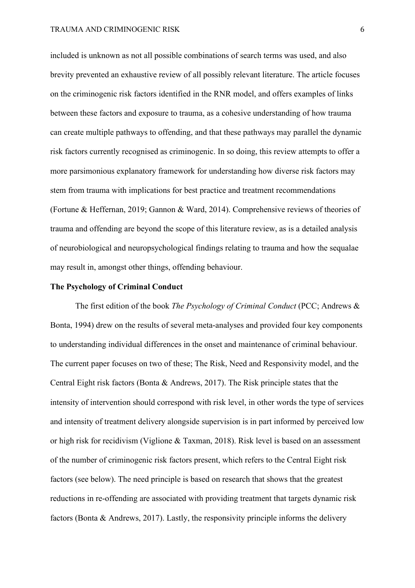included is unknown as not all possible combinations of search terms was used, and also brevity prevented an exhaustive review of all possibly relevant literature. The article focuses on the criminogenic risk factors identified in the RNR model, and offers examples of links between these factors and exposure to trauma, as a cohesive understanding of how trauma can create multiple pathways to offending, and that these pathways may parallel the dynamic risk factors currently recognised as criminogenic. In so doing, this review attempts to offer a more parsimonious explanatory framework for understanding how diverse risk factors may stem from trauma with implications for best practice and treatment recommendations (Fortune & Heffernan, 2019; Gannon & Ward, 2014). Comprehensive reviews of theories of trauma and offending are beyond the scope of this literature review, as is a detailed analysis of neurobiological and neuropsychological findings relating to trauma and how the sequalae may result in, amongst other things, offending behaviour.

# **The Psychology of Criminal Conduct**

The first edition of the book *The Psychology of Criminal Conduct* (PCC; Andrews & Bonta, 1994) drew on the results of several meta-analyses and provided four key components to understanding individual differences in the onset and maintenance of criminal behaviour. The current paper focuses on two of these; The Risk, Need and Responsivity model, and the Central Eight risk factors (Bonta & Andrews, 2017). The Risk principle states that the intensity of intervention should correspond with risk level, in other words the type of services and intensity of treatment delivery alongside supervision is in part informed by perceived low or high risk for recidivism (Viglione & Taxman, 2018). Risk level is based on an assessment of the number of criminogenic risk factors present, which refers to the Central Eight risk factors (see below). The need principle is based on research that shows that the greatest reductions in re-offending are associated with providing treatment that targets dynamic risk factors (Bonta & Andrews, 2017). Lastly, the responsivity principle informs the delivery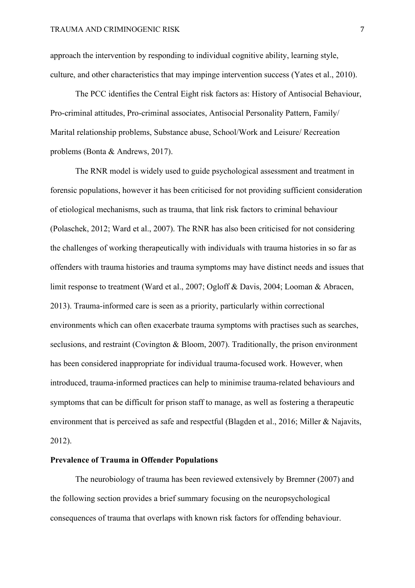approach the intervention by responding to individual cognitive ability, learning style, culture, and other characteristics that may impinge intervention success (Yates et al., 2010).

The PCC identifies the Central Eight risk factors as: History of Antisocial Behaviour, Pro-criminal attitudes, Pro-criminal associates, Antisocial Personality Pattern, Family/ Marital relationship problems, Substance abuse, School/Work and Leisure/ Recreation problems (Bonta & Andrews, 2017).

The RNR model is widely used to guide psychological assessment and treatment in forensic populations, however it has been criticised for not providing sufficient consideration of etiological mechanisms, such as trauma, that link risk factors to criminal behaviour (Polaschek, 2012; Ward et al., 2007). The RNR has also been criticised for not considering the challenges of working therapeutically with individuals with trauma histories in so far as offenders with trauma histories and trauma symptoms may have distinct needs and issues that limit response to treatment (Ward et al., 2007; Ogloff & Davis, 2004; Looman & Abracen, 2013). Trauma-informed care is seen as a priority, particularly within correctional environments which can often exacerbate trauma symptoms with practises such as searches, seclusions, and restraint (Covington & Bloom, 2007). Traditionally, the prison environment has been considered inappropriate for individual trauma-focused work. However, when introduced, trauma-informed practices can help to minimise trauma-related behaviours and symptoms that can be difficult for prison staff to manage, as well as fostering a therapeutic environment that is perceived as safe and respectful (Blagden et al., 2016; Miller & Najavits, 2012).

# **Prevalence of Trauma in Offender Populations**

The neurobiology of trauma has been reviewed extensively by Bremner (2007) and the following section provides a brief summary focusing on the neuropsychological consequences of trauma that overlaps with known risk factors for offending behaviour.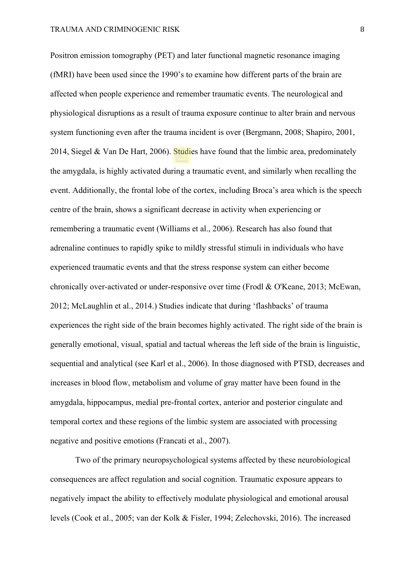Positron emission tomography (PET) and later functional magnetic resonance imaging (fMRI) have been used since the 1990's to examine how different parts of the brain are affected when people experience and remember traumatic events. The neurological and physiological disruptions as a result of trauma exposure continue to alter brain and nervous system functioning even after the trauma incident is over (Bergmann, 2008; Shapiro, 2001, 2014, Siegel & Van De Hart, 2006). Studies have found that the limbic area, predominately the amygdala, is highly activated during a traumatic event, and similarly when recalling the event. Additionally, the frontal lobe of the cortex, including Broca's area which is the speech centre of the brain, shows a significant decrease in activity when experiencing or remembering a traumatic event (Williams et al., 2006). Research has also found that adrenaline continues to rapidly spike to mildly stressful stimuli in individuals who have experienced traumatic events and that the stress response system can either become chronically over-activated or under-responsive over time (Frodl & O'Keane, 2013; McEwan, 2012; McLaughlin et al., 2014.) Studies indicate that during 'flashbacks' of trauma experiences the right side of the brain becomes highly activated. The right side of the brain is generally emotional, visual, spatial and tactual whereas the left side of the brain is linguistic, sequential and analytical (see Karl et al., 2006). In those diagnosed with PTSD, decreases and increases in blood flow, metabolism and volume of gray matter have been found in the amygdala, hippocampus, medial pre-frontal cortex, anterior and posterior cingulate and temporal cortex and these regions of the limbic system are associated with processing negative and positive emotions (Francati et al., 2007).

Two of the primary neuropsychological systems affected by these neurobiological consequences are affect regulation and social cognition. Traumatic exposure appears to negatively impact the ability to effectively modulate physiological and emotional arousal levels (Cook et al., 2005; van der Kolk & Fisler, 1994; Zelechovski, 2016). The increased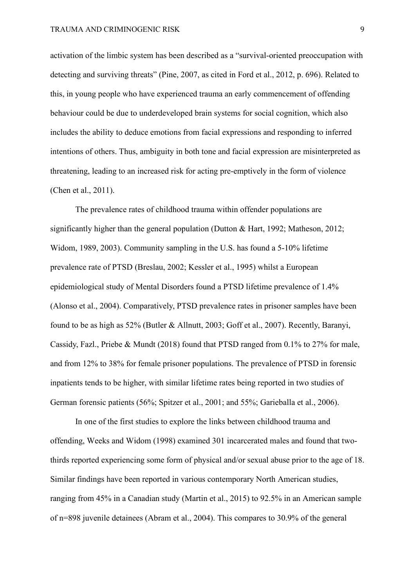activation of the limbic system has been described as a "survival-oriented preoccupation with detecting and surviving threats" (Pine, 2007, as cited in Ford et al., 2012, p. 696). Related to this, in young people who have experienced trauma an early commencement of offending behaviour could be due to underdeveloped brain systems for social cognition, which also includes the ability to deduce emotions from facial expressions and responding to inferred intentions of others. Thus, ambiguity in both tone and facial expression are misinterpreted as threatening, leading to an increased risk for acting pre-emptively in the form of violence (Chen et al., 2011).

The prevalence rates of childhood trauma within offender populations are significantly higher than the general population (Dutton & Hart, 1992; Matheson, 2012; Widom, 1989, 2003). Community sampling in the U.S. has found a 5-10% lifetime prevalence rate of PTSD (Breslau, 2002; Kessler et al., 1995) whilst a European epidemiological study of Mental Disorders found a PTSD lifetime prevalence of 1.4% (Alonso et al., 2004). Comparatively, PTSD prevalence rates in prisoner samples have been found to be as high as 52% (Butler & Allnutt, 2003; Goff et al., 2007). Recently, Baranyi, Cassidy, Fazl., Priebe & Mundt (2018) found that PTSD ranged from 0.1% to 27% for male, and from 12% to 38% for female prisoner populations. The prevalence of PTSD in forensic inpatients tends to be higher, with similar lifetime rates being reported in two studies of German forensic patients (56%; Spitzer et al., 2001; and 55%; Garieballa et al., 2006).

In one of the first studies to explore the links between childhood trauma and offending, Weeks and Widom (1998) examined 301 incarcerated males and found that twothirds reported experiencing some form of physical and/or sexual abuse prior to the age of 18. Similar findings have been reported in various contemporary North American studies, ranging from 45% in a Canadian study (Martin et al., 2015) to 92.5% in an American sample of n=898 juvenile detainees (Abram et al., 2004). This compares to 30.9% of the general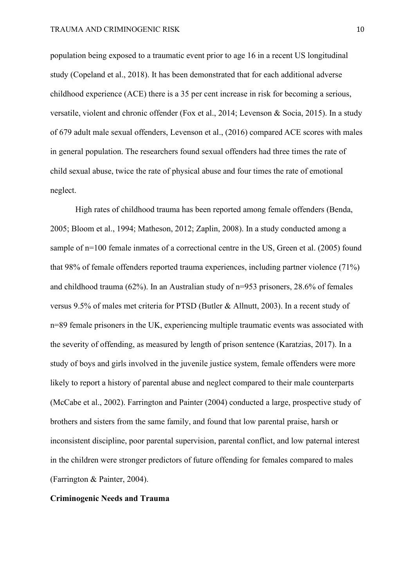population being exposed to a traumatic event prior to age 16 in a recent US longitudinal study (Copeland et al., 2018). It has been demonstrated that for each additional adverse childhood experience (ACE) there is a 35 per cent increase in risk for becoming a serious, versatile, violent and chronic offender (Fox et al., 2014; Levenson & Socia, 2015). In a study of 679 adult male sexual offenders, Levenson et al., (2016) compared ACE scores with males in general population. The researchers found sexual offenders had three times the rate of child sexual abuse, twice the rate of physical abuse and four times the rate of emotional neglect.

High rates of childhood trauma has been reported among female offenders (Benda, 2005; Bloom et al., 1994; Matheson, 2012; Zaplin, 2008). In a study conducted among a sample of n=100 female inmates of a correctional centre in the US, Green et al. (2005) found that 98% of female offenders reported trauma experiences, including partner violence (71%) and childhood trauma (62%). In an Australian study of n=953 prisoners, 28.6% of females versus 9.5% of males met criteria for PTSD (Butler & Allnutt, 2003). In a recent study of n=89 female prisoners in the UK, experiencing multiple traumatic events was associated with the severity of offending, as measured by length of prison sentence (Karatzias, 2017). In a study of boys and girls involved in the juvenile justice system, female offenders were more likely to report a history of parental abuse and neglect compared to their male counterparts (McCabe et al., 2002). Farrington and Painter (2004) conducted a large, prospective study of brothers and sisters from the same family, and found that low parental praise, harsh or inconsistent discipline, poor parental supervision, parental conflict, and low paternal interest in the children were stronger predictors of future offending for females compared to males (Farrington & Painter, 2004).

#### **Criminogenic Needs and Trauma**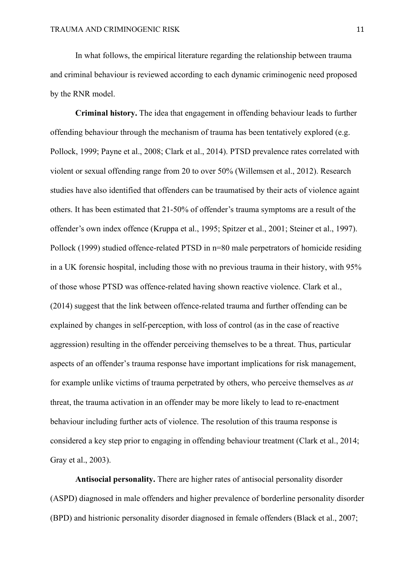In what follows, the empirical literature regarding the relationship between trauma and criminal behaviour is reviewed according to each dynamic criminogenic need proposed by the RNR model.

**Criminal history.** The idea that engagement in offending behaviour leads to further offending behaviour through the mechanism of trauma has been tentatively explored (e.g. Pollock, 1999; Payne et al., 2008; Clark et al., 2014). PTSD prevalence rates correlated with violent or sexual offending range from 20 to over 50% (Willemsen et al., 2012). Research studies have also identified that offenders can be traumatised by their acts of violence againt others. It has been estimated that 21-50% of offender's trauma symptoms are a result of the offender's own index offence (Kruppa et al., 1995; Spitzer et al., 2001; Steiner et al., 1997). Pollock (1999) studied offence-related PTSD in n=80 male perpetrators of homicide residing in a UK forensic hospital, including those with no previous trauma in their history, with 95% of those whose PTSD was offence-related having shown reactive violence. Clark et al., (2014) suggest that the link between offence-related trauma and further offending can be explained by changes in self-perception, with loss of control (as in the case of reactive aggression) resulting in the offender perceiving themselves to be a threat. Thus, particular aspects of an offender's trauma response have important implications for risk management, for example unlike victims of trauma perpetrated by others, who perceive themselves as *at* threat, the trauma activation in an offender may be more likely to lead to re-enactment behaviour including further acts of violence. The resolution of this trauma response is considered a key step prior to engaging in offending behaviour treatment (Clark et al., 2014; Gray et al., 2003).

**Antisocial personality.** There are higher rates of antisocial personality disorder (ASPD) diagnosed in male offenders and higher prevalence of borderline personality disorder (BPD) and histrionic personality disorder diagnosed in female offenders (Black et al., 2007;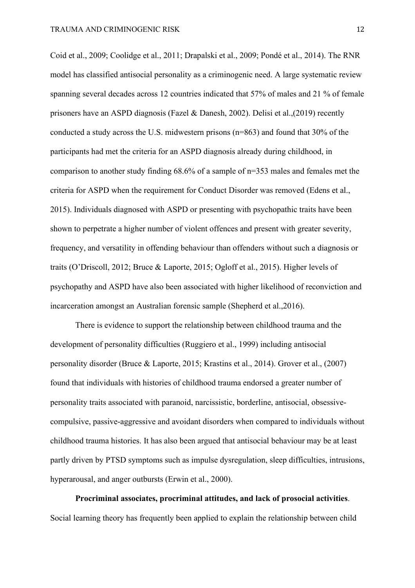Coid et al., 2009; Coolidge et al., 2011; Drapalski et al., 2009; Pondé et al., 2014). The RNR model has classified antisocial personality as a criminogenic need. A large systematic review spanning several decades across 12 countries indicated that 57% of males and 21 % of female prisoners have an ASPD diagnosis (Fazel & Danesh, 2002). Delisi et al.,(2019) recently conducted a study across the U.S. midwestern prisons (n=863) and found that 30% of the participants had met the criteria for an ASPD diagnosis already during childhood, in comparison to another study finding 68.6% of a sample of n=353 males and females met the criteria for ASPD when the requirement for Conduct Disorder was removed (Edens et al., 2015). Individuals diagnosed with ASPD or presenting with psychopathic traits have been shown to perpetrate a higher number of violent offences and present with greater severity, frequency, and versatility in offending behaviour than offenders without such a diagnosis or traits (O'Driscoll, 2012; Bruce & Laporte, 2015; Ogloff et al., 2015). Higher levels of psychopathy and ASPD have also been associated with higher likelihood of reconviction and incarceration amongst an Australian forensic sample (Shepherd et al.,2016).

There is evidence to support the relationship between childhood trauma and the development of personality difficulties (Ruggiero et al., 1999) including antisocial personality disorder (Bruce & Laporte, 2015; Krastins et al., 2014). Grover et al., (2007) found that individuals with histories of childhood trauma endorsed a greater number of personality traits associated with paranoid, narcissistic, borderline, antisocial, obsessivecompulsive, passive-aggressive and avoidant disorders when compared to individuals without childhood trauma histories. It has also been argued that antisocial behaviour may be at least partly driven by PTSD symptoms such as impulse dysregulation, sleep difficulties, intrusions, hyperarousal, and anger outbursts (Erwin et al., 2000).

**Procriminal associates, procriminal attitudes, and lack of prosocial activities**. Social learning theory has frequently been applied to explain the relationship between child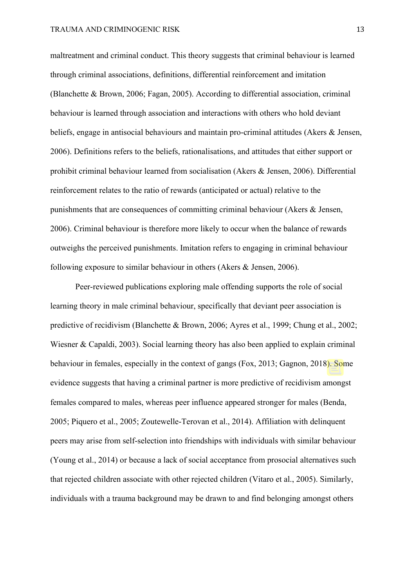maltreatment and criminal conduct. This theory suggests that criminal behaviour is learned through criminal associations, definitions, differential reinforcement and imitation (Blanchette & Brown, 2006; Fagan, 2005). According to differential association, criminal behaviour is learned through association and interactions with others who hold deviant beliefs, engage in antisocial behaviours and maintain pro-criminal attitudes (Akers & Jensen, 2006). Definitions refers to the beliefs, rationalisations, and attitudes that either support or prohibit criminal behaviour learned from socialisation (Akers & Jensen, 2006). Differential reinforcement relates to the ratio of rewards (anticipated or actual) relative to the punishments that are consequences of committing criminal behaviour (Akers & Jensen, 2006). Criminal behaviour is therefore more likely to occur when the balance of rewards outweighs the perceived punishments. Imitation refers to engaging in criminal behaviour following exposure to similar behaviour in others (Akers & Jensen, 2006).

Peer-reviewed publications exploring male offending supports the role of social learning theory in male criminal behaviour, specifically that deviant peer association is predictive of recidivism (Blanchette & Brown, 2006; Ayres et al., 1999; Chung et al., 2002; Wiesner & Capaldi, 2003). Social learning theory has also been applied to explain criminal behaviour in females, especially in the context of gangs (Fox, 2013; Gagnon, 2018). Some evidence suggests that having a criminal partner is more predictive of recidivism amongst females compared to males, whereas peer influence appeared stronger for males (Benda, 2005; Piquero et al., 2005; Zoutewelle-Terovan et al., 2014). Affiliation with delinquent peers may arise from self-selection into friendships with individuals with similar behaviour (Young et al., 2014) or because a lack of social acceptance from prosocial alternatives such that rejected children associate with other rejected children (Vitaro et al., 2005). Similarly, individuals with a trauma background may be drawn to and find belonging amongst others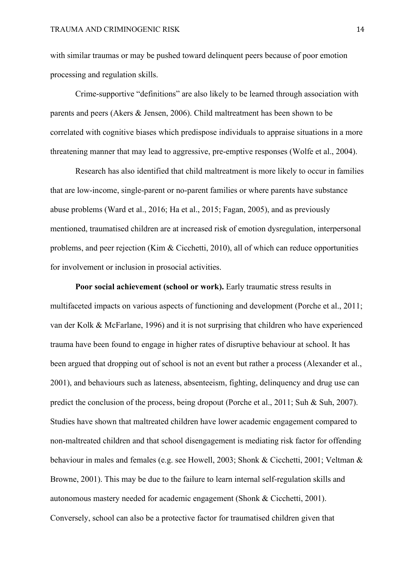with similar traumas or may be pushed toward delinquent peers because of poor emotion processing and regulation skills.

Crime-supportive "definitions" are also likely to be learned through association with parents and peers (Akers & Jensen, 2006). Child maltreatment has been shown to be correlated with cognitive biases which predispose individuals to appraise situations in a more threatening manner that may lead to aggressive, pre-emptive responses (Wolfe et al., 2004).

Research has also identified that child maltreatment is more likely to occur in families that are low-income, single-parent or no-parent families or where parents have substance abuse problems (Ward et al., 2016; Ha et al., 2015; Fagan, 2005), and as previously mentioned, traumatised children are at increased risk of emotion dysregulation, interpersonal problems, and peer rejection (Kim & Cicchetti, 2010), all of which can reduce opportunities for involvement or inclusion in prosocial activities.

**Poor social achievement (school or work).** Early traumatic stress results in multifaceted impacts on various aspects of functioning and development (Porche et al., 2011; van der Kolk & McFarlane, 1996) and it is not surprising that children who have experienced trauma have been found to engage in higher rates of disruptive behaviour at school. It has been argued that dropping out of school is not an event but rather a process (Alexander et al., 2001), and behaviours such as lateness, absenteeism, fighting, delinquency and drug use can predict the conclusion of the process, being dropout (Porche et al., 2011; Suh & Suh, 2007). Studies have shown that maltreated children have lower academic engagement compared to non-maltreated children and that school disengagement is mediating risk factor for offending behaviour in males and females (e.g. see Howell, 2003; Shonk & Cicchetti, 2001; Veltman & Browne, 2001). This may be due to the failure to learn internal self-regulation skills and autonomous mastery needed for academic engagement (Shonk & Cicchetti, 2001). Conversely, school can also be a protective factor for traumatised children given that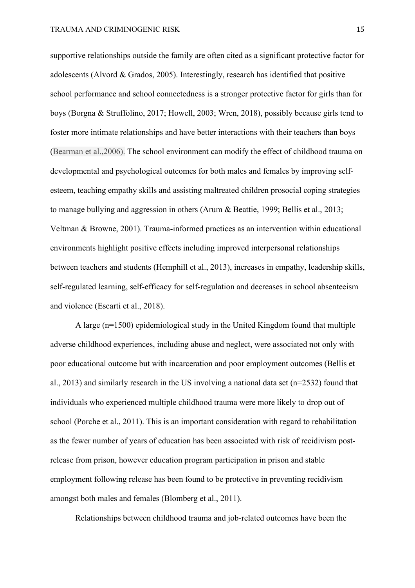supportive relationships outside the family are often cited as a significant protective factor for adolescents (Alvord & Grados, 2005). Interestingly, research has identified that positive school performance and school connectedness is a stronger protective factor for girls than for boys (Borgna & Struffolino, 2017; Howell, 2003; Wren, 2018), possibly because girls tend to foster more intimate relationships and have better interactions with their teachers than boys (Bearman et al.,2006). The school environment can modify the effect of childhood trauma on developmental and psychological outcomes for both males and females by improving selfesteem, teaching empathy skills and assisting maltreated children prosocial coping strategies to manage bullying and aggression in others (Arum & Beattie, 1999; Bellis et al., 2013; Veltman & Browne, 2001). Trauma-informed practices as an intervention within educational environments highlight positive effects including improved interpersonal relationships between teachers and students (Hemphill et al., 2013), increases in empathy, leadership skills, self-regulated learning, self-efficacy for self-regulation and decreases in school absenteeism and violence (Escarti et al., 2018).

A large (n=1500) epidemiological study in the United Kingdom found that multiple adverse childhood experiences, including abuse and neglect, were associated not only with poor educational outcome but with incarceration and poor employment outcomes (Bellis et al., 2013) and similarly research in the US involving a national data set (n=2532) found that individuals who experienced multiple childhood trauma were more likely to drop out of school (Porche et al., 2011). This is an important consideration with regard to rehabilitation as the fewer number of years of education has been associated with risk of recidivism postrelease from prison, however education program participation in prison and stable employment following release has been found to be protective in preventing recidivism amongst both males and females (Blomberg et al., 2011).

Relationships between childhood trauma and job-related outcomes have been the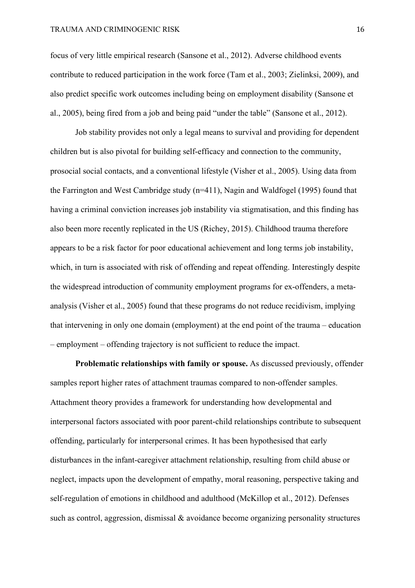#### TRAUMA AND CRIMINOGENIC RISK 16

focus of very little empirical research (Sansone et al., 2012). Adverse childhood events contribute to reduced participation in the work force (Tam et al., 2003; Zielinksi, 2009), and also predict specific work outcomes including being on employment disability (Sansone et al., 2005), being fired from a job and being paid "under the table" (Sansone et al., 2012).

Job stability provides not only a legal means to survival and providing for dependent children but is also pivotal for building self-efficacy and connection to the community, prosocial social contacts, and a conventional lifestyle (Visher et al., 2005). Using data from the Farrington and West Cambridge study (n=411), Nagin and Waldfogel (1995) found that having a criminal conviction increases job instability via stigmatisation, and this finding has also been more recently replicated in the US (Richey, 2015). Childhood trauma therefore appears to be a risk factor for poor educational achievement and long terms job instability, which, in turn is associated with risk of offending and repeat offending. Interestingly despite the widespread introduction of community employment programs for ex-offenders, a metaanalysis (Visher et al., 2005) found that these programs do not reduce recidivism, implying that intervening in only one domain (employment) at the end point of the trauma – education – employment – offending trajectory is not sufficient to reduce the impact.

**Problematic relationships with family or spouse.** As discussed previously, offender samples report higher rates of attachment traumas compared to non-offender samples. Attachment theory provides a framework for understanding how developmental and interpersonal factors associated with poor parent-child relationships contribute to subsequent offending, particularly for interpersonal crimes. It has been hypothesised that early disturbances in the infant-caregiver attachment relationship, resulting from child abuse or neglect, impacts upon the development of empathy, moral reasoning, perspective taking and self-regulation of emotions in childhood and adulthood (McKillop et al., 2012). Defenses such as control, aggression, dismissal & avoidance become organizing personality structures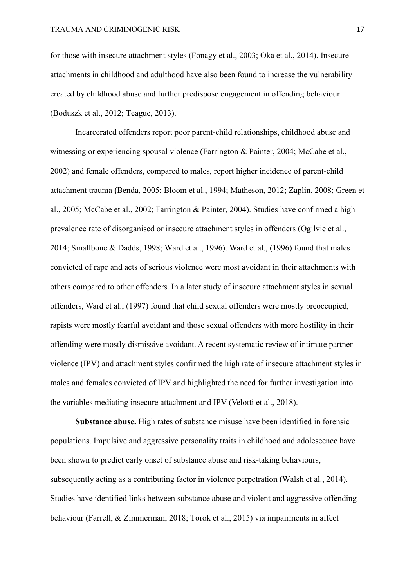for those with insecure attachment styles (Fonagy et al., 2003; Oka et al., 2014). Insecure attachments in childhood and adulthood have also been found to increase the vulnerability created by childhood abuse and further predispose engagement in offending behaviour (Boduszk et al., 2012; Teague, 2013).

Incarcerated offenders report poor parent-child relationships, childhood abuse and witnessing or experiencing spousal violence (Farrington & Painter, 2004; McCabe et al., 2002) and female offenders, compared to males, report higher incidence of parent-child attachment trauma **(**Benda, 2005; Bloom et al., 1994; Matheson, 2012; Zaplin, 2008; Green et al., 2005; McCabe et al., 2002; Farrington & Painter, 2004). Studies have confirmed a high prevalence rate of disorganised or insecure attachment styles in offenders (Ogilvie et al., 2014; Smallbone & Dadds, 1998; Ward et al., 1996). Ward et al., (1996) found that males convicted of rape and acts of serious violence were most avoidant in their attachments with others compared to other offenders. In a later study of insecure attachment styles in sexual offenders, Ward et al., (1997) found that child sexual offenders were mostly preoccupied, rapists were mostly fearful avoidant and those sexual offenders with more hostility in their offending were mostly dismissive avoidant. A recent systematic review of intimate partner violence (IPV) and attachment styles confirmed the high rate of insecure attachment styles in males and females convicted of IPV and highlighted the need for further investigation into the variables mediating insecure attachment and IPV (Velotti et al., 2018).

**Substance abuse.** High rates of substance misuse have been identified in forensic populations. Impulsive and aggressive personality traits in childhood and adolescence have been shown to predict early onset of substance abuse and risk-taking behaviours, subsequently acting as a contributing factor in violence perpetration (Walsh et al., 2014). Studies have identified links between substance abuse and violent and aggressive offending behaviour (Farrell, & Zimmerman, 2018; Torok et al., 2015) via impairments in affect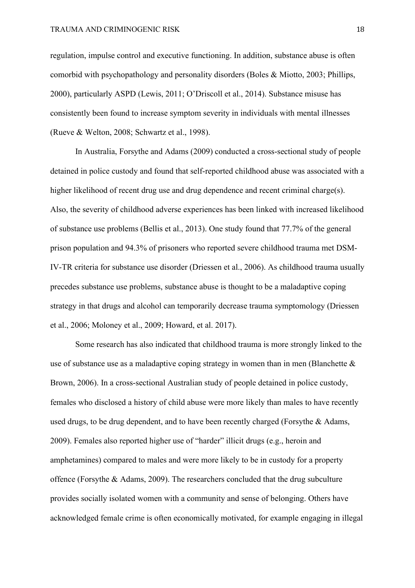regulation, impulse control and executive functioning. In addition, substance abuse is often comorbid with psychopathology and personality disorders (Boles & Miotto, 2003; Phillips, 2000), particularly ASPD (Lewis, 2011; O'Driscoll et al., 2014). Substance misuse has consistently been found to increase symptom severity in individuals with mental illnesses (Rueve & Welton, 2008; Schwartz et al., 1998).

In Australia, Forsythe and Adams (2009) conducted a cross-sectional study of people detained in police custody and found that self-reported childhood abuse was associated with a higher likelihood of recent drug use and drug dependence and recent criminal charge(s). Also, the severity of childhood adverse experiences has been linked with increased likelihood of substance use problems (Bellis et al., 2013). One study found that 77.7% of the general prison population and 94.3% of prisoners who reported severe childhood trauma met DSM-IV-TR criteria for substance use disorder (Driessen et al., 2006). As childhood trauma usually precedes substance use problems, substance abuse is thought to be a maladaptive coping strategy in that drugs and alcohol can temporarily decrease trauma symptomology (Driessen et al., 2006; Moloney et al., 2009; Howard, et al. 2017).

Some research has also indicated that childhood trauma is more strongly linked to the use of substance use as a maladaptive coping strategy in women than in men (Blanchette  $\&$ Brown, 2006). In a cross-sectional Australian study of people detained in police custody, females who disclosed a history of child abuse were more likely than males to have recently used drugs, to be drug dependent, and to have been recently charged (Forsythe & Adams, 2009). Females also reported higher use of "harder" illicit drugs (e.g., heroin and amphetamines) compared to males and were more likely to be in custody for a property offence (Forsythe & Adams, 2009). The researchers concluded that the drug subculture provides socially isolated women with a community and sense of belonging. Others have acknowledged female crime is often economically motivated, for example engaging in illegal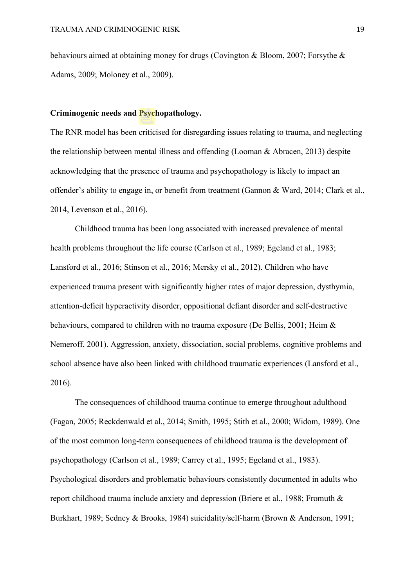behaviours aimed at obtaining money for drugs (Covington & Bloom, 2007; Forsythe & Adams, 2009; Moloney et al., 2009).

## **Criminogenic needs and Psychopathology.**

The RNR model has been criticised for disregarding issues relating to trauma, and neglecting the relationship between mental illness and offending (Looman & Abracen, 2013) despite acknowledging that the presence of trauma and psychopathology is likely to impact an offender's ability to engage in, or benefit from treatment (Gannon & Ward, 2014; Clark et al., 2014, Levenson et al., 2016).

Childhood trauma has been long associated with increased prevalence of mental health problems throughout the life course (Carlson et al., 1989; Egeland et al., 1983; Lansford et al., 2016; Stinson et al., 2016; Mersky et al., 2012). Children who have experienced trauma present with significantly higher rates of major depression, dysthymia, attention-deficit hyperactivity disorder, oppositional defiant disorder and self-destructive behaviours, compared to children with no trauma exposure (De Bellis, 2001; Heim & Nemeroff, 2001). Aggression, anxiety, dissociation, social problems, cognitive problems and school absence have also been linked with childhood traumatic experiences (Lansford et al., 2016).

The consequences of childhood trauma continue to emerge throughout adulthood (Fagan, 2005; Reckdenwald et al., 2014; Smith, 1995; Stith et al., 2000; Widom, 1989). One of the most common long-term consequences of childhood trauma is the development of psychopathology (Carlson et al., 1989; Carrey et al., 1995; Egeland et al., 1983). Psychological disorders and problematic behaviours consistently documented in adults who report childhood trauma include anxiety and depression (Briere et al., 1988; Fromuth & Burkhart, 1989; Sedney & Brooks, 1984) suicidality/self-harm (Brown & Anderson, 1991;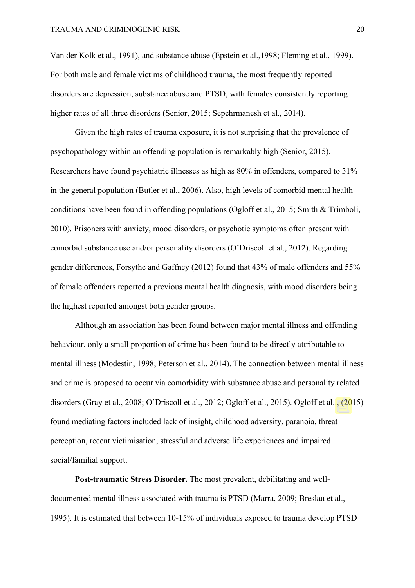Van der Kolk et al., 1991), and substance abuse (Epstein et al.,1998; Fleming et al., 1999). For both male and female victims of childhood trauma, the most frequently reported disorders are depression, substance abuse and PTSD, with females consistently reporting higher rates of all three disorders (Senior, 2015; Sepehrmanesh et al., 2014).

Given the high rates of trauma exposure, it is not surprising that the prevalence of psychopathology within an offending population is remarkably high (Senior, 2015). Researchers have found psychiatric illnesses as high as 80% in offenders, compared to 31% in the general population (Butler et al., 2006). Also, high levels of comorbid mental health conditions have been found in offending populations (Ogloff et al., 2015; Smith & Trimboli, 2010). Prisoners with anxiety, mood disorders, or psychotic symptoms often present with comorbid substance use and/or personality disorders (O'Driscoll et al., 2012). Regarding gender differences, Forsythe and Gaffney (2012) found that 43% of male offenders and 55% of female offenders reported a previous mental health diagnosis, with mood disorders being the highest reported amongst both gender groups.

Although an association has been found between major mental illness and offending behaviour, only a small proportion of crime has been found to be directly attributable to mental illness (Modestin, 1998; Peterson et al., 2014). The connection between mental illness and crime is proposed to occur via comorbidity with substance abuse and personality related disorders (Gray et al., 2008; O'Driscoll et al., 2012; Ogloff et al., 2015). Ogloff et al.., (2015) found mediating factors included lack of insight, childhood adversity, paranoia, threat perception, recent victimisation, stressful and adverse life experiences and impaired social/familial support.

**Post-traumatic Stress Disorder.** The most prevalent, debilitating and welldocumented mental illness associated with trauma is PTSD (Marra, 2009; Breslau et al., 1995). It is estimated that between 10-15% of individuals exposed to trauma develop PTSD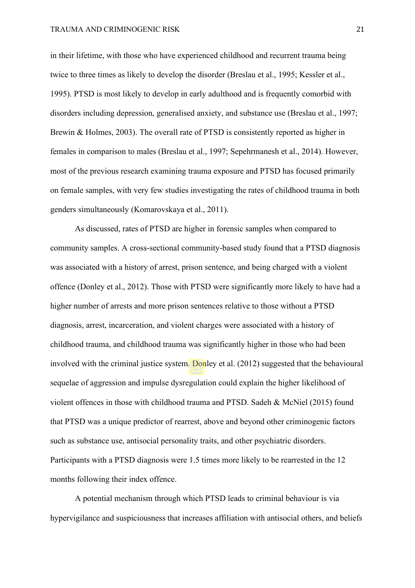in their lifetime, with those who have experienced childhood and recurrent trauma being twice to three times as likely to develop the disorder (Breslau et al., 1995; Kessler et al., 1995). PTSD is most likely to develop in early adulthood and is frequently comorbid with disorders including depression, generalised anxiety, and substance use (Breslau et al., 1997; Brewin & Holmes, 2003). The overall rate of PTSD is consistently reported as higher in females in comparison to males (Breslau et al., 1997; Sepehrmanesh et al., 2014). However, most of the previous research examining trauma exposure and PTSD has focused primarily on female samples, with very few studies investigating the rates of childhood trauma in both genders simultaneously (Komarovskaya et al., 2011).

As discussed, rates of PTSD are higher in forensic samples when compared to community samples. A cross-sectional community-based study found that a PTSD diagnosis was associated with a history of arrest, prison sentence, and being charged with a violent offence (Donley et al., 2012). Those with PTSD were significantly more likely to have had a higher number of arrests and more prison sentences relative to those without a PTSD diagnosis, arrest, incarceration, and violent charges were associated with a history of childhood trauma, and childhood trauma was significantly higher in those who had been involved with the criminal justice system. Donley et al. (2012) suggested that the behavioural sequelae of aggression and impulse dysregulation could explain the higher likelihood of violent offences in those with childhood trauma and PTSD. Sadeh & McNiel (2015) found that PTSD was a unique predictor of rearrest, above and beyond other criminogenic factors such as substance use, antisocial personality traits, and other psychiatric disorders. Participants with a PTSD diagnosis were 1.5 times more likely to be rearrested in the 12 months following their index offence.

A potential mechanism through which PTSD leads to criminal behaviour is via hypervigilance and suspiciousness that increases affiliation with antisocial others, and beliefs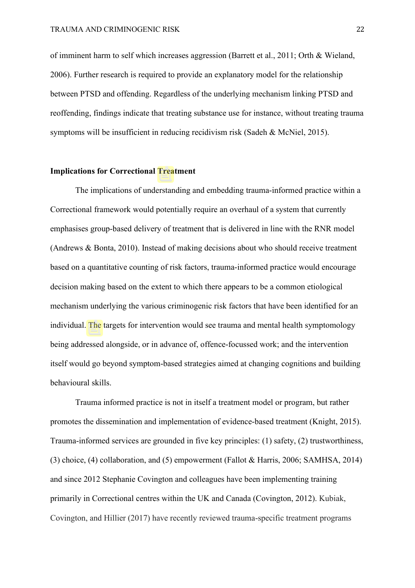of imminent harm to self which increases aggression (Barrett et al., 2011; Orth & Wieland, 2006). Further research is required to provide an explanatory model for the relationship between PTSD and offending. Regardless of the underlying mechanism linking PTSD and reoffending, findings indicate that treating substance use for instance, without treating trauma symptoms will be insufficient in reducing recidivism risk (Sadeh & McNiel, 2015).

# **Implications for Correctional Treatment**

The implications of understanding and embedding trauma-informed practice within a Correctional framework would potentially require an overhaul of a system that currently emphasises group-based delivery of treatment that is delivered in line with the RNR model (Andrews & Bonta, 2010). Instead of making decisions about who should receive treatment based on a quantitative counting of risk factors, trauma-informed practice would encourage decision making based on the extent to which there appears to be a common etiological mechanism underlying the various criminogenic risk factors that have been identified for an individual. The targets for intervention would see trauma and mental health symptomology being addressed alongside, or in advance of, offence-focussed work; and the intervention itself would go beyond symptom-based strategies aimed at changing cognitions and building behavioural skills.

Trauma informed practice is not in itself a treatment model or program, but rather promotes the dissemination and implementation of evidence-based treatment (Knight, 2015). Trauma-informed services are grounded in five key principles: (1) safety, (2) trustworthiness, (3) choice, (4) collaboration, and (5) empowerment (Fallot & Harris, 2006; SAMHSA, 2014) and since 2012 Stephanie Covington and colleagues have been implementing training primarily in Correctional centres within the UK and Canada (Covington, 2012). Kubiak, Covington, and Hillier (2017) have recently reviewed trauma-specific treatment programs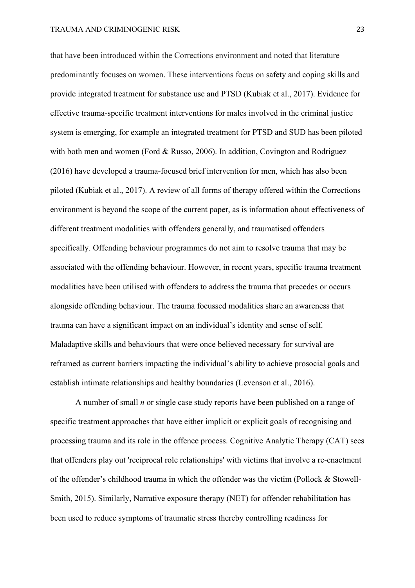that have been introduced within the Corrections environment and noted that literature predominantly focuses on women. These interventions focus on safety and coping skills and provide integrated treatment for substance use and PTSD (Kubiak et al., 2017). Evidence for effective trauma-specific treatment interventions for males involved in the criminal justice system is emerging, for example an integrated treatment for PTSD and SUD has been piloted with both men and women (Ford & Russo, 2006). In addition, Covington and Rodriguez (2016) have developed a trauma-focused brief intervention for men, which has also been piloted (Kubiak et al., 2017). A review of all forms of therapy offered within the Corrections environment is beyond the scope of the current paper, as is information about effectiveness of different treatment modalities with offenders generally, and traumatised offenders specifically. Offending behaviour programmes do not aim to resolve trauma that may be associated with the offending behaviour. However, in recent years, specific trauma treatment modalities have been utilised with offenders to address the trauma that precedes or occurs alongside offending behaviour. The trauma focussed modalities share an awareness that trauma can have a significant impact on an individual's identity and sense of self. Maladaptive skills and behaviours that were once believed necessary for survival are reframed as current barriers impacting the individual's ability to achieve prosocial goals and establish intimate relationships and healthy boundaries (Levenson et al., 2016).

A number of small *n* or single case study reports have been published on a range of specific treatment approaches that have either implicit or explicit goals of recognising and processing trauma and its role in the offence process. Cognitive Analytic Therapy (CAT) sees that offenders play out 'reciprocal role relationships' with victims that involve a re-enactment of the offender's childhood trauma in which the offender was the victim (Pollock & Stowell-Smith, 2015). Similarly, Narrative exposure therapy (NET) for offender rehabilitation has been used to reduce symptoms of traumatic stress thereby controlling readiness for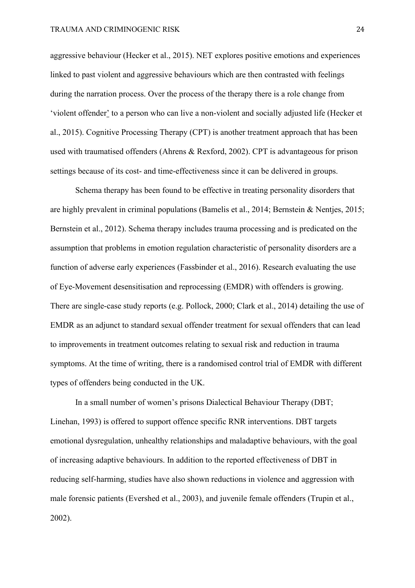aggressive behaviour (Hecker et al., 2015). NET explores positive emotions and experiences linked to past violent and aggressive behaviours which are then contrasted with feelings during the narration process. Over the process of the therapy there is a role change from 'violent offender' to a person who can live a non-violent and socially adjusted life (Hecker et al., 2015). Cognitive Processing Therapy (CPT) is another treatment approach that has been used with traumatised offenders (Ahrens & Rexford, 2002). CPT is advantageous for prison settings because of its cost- and time-effectiveness since it can be delivered in groups.

Schema therapy has been found to be effective in treating personality disorders that are highly prevalent in criminal populations (Bamelis et al., 2014; Bernstein & Nentjes, 2015; Bernstein et al., 2012). Schema therapy includes trauma processing and is predicated on the assumption that problems in emotion regulation characteristic of personality disorders are a function of adverse early experiences (Fassbinder et al., 2016). Research evaluating the use of Eye-Movement desensitisation and reprocessing (EMDR) with offenders is growing. There are single-case study reports (e.g. Pollock, 2000; Clark et al., 2014) detailing the use of EMDR as an adjunct to standard sexual offender treatment for sexual offenders that can lead to improvements in treatment outcomes relating to sexual risk and reduction in trauma symptoms. At the time of writing, there is a randomised control trial of EMDR with different types of offenders being conducted in the UK.

In a small number of women's prisons Dialectical Behaviour Therapy (DBT; Linehan, 1993) is offered to support offence specific RNR interventions. DBT targets emotional dysregulation, unhealthy relationships and maladaptive behaviours, with the goal of increasing adaptive behaviours. In addition to the reported effectiveness of DBT in reducing self-harming, studies have also shown reductions in violence and aggression with male forensic patients (Evershed et al., 2003), and juvenile female offenders (Trupin et al., 2002).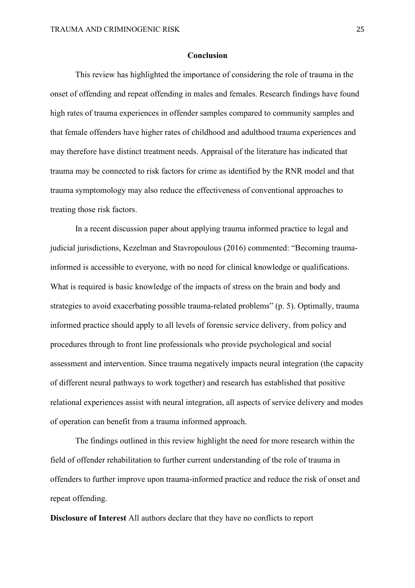#### **Conclusion**

This review has highlighted the importance of considering the role of trauma in the onset of offending and repeat offending in males and females. Research findings have found high rates of trauma experiences in offender samples compared to community samples and that female offenders have higher rates of childhood and adulthood trauma experiences and may therefore have distinct treatment needs. Appraisal of the literature has indicated that trauma may be connected to risk factors for crime as identified by the RNR model and that trauma symptomology may also reduce the effectiveness of conventional approaches to treating those risk factors.

In a recent discussion paper about applying trauma informed practice to legal and judicial jurisdictions, Kezelman and Stavropoulous (2016) commented: "Becoming traumainformed is accessible to everyone, with no need for clinical knowledge or qualifications. What is required is basic knowledge of the impacts of stress on the brain and body and strategies to avoid exacerbating possible trauma-related problems" (p. 5). Optimally, trauma informed practice should apply to all levels of forensic service delivery, from policy and procedures through to front line professionals who provide psychological and social assessment and intervention. Since trauma negatively impacts neural integration (the capacity of different neural pathways to work together) and research has established that positive relational experiences assist with neural integration, all aspects of service delivery and modes of operation can benefit from a trauma informed approach.

The findings outlined in this review highlight the need for more research within the field of offender rehabilitation to further current understanding of the role of trauma in offenders to further improve upon trauma-informed practice and reduce the risk of onset and repeat offending.

**Disclosure of Interest** All authors declare that they have no conflicts to report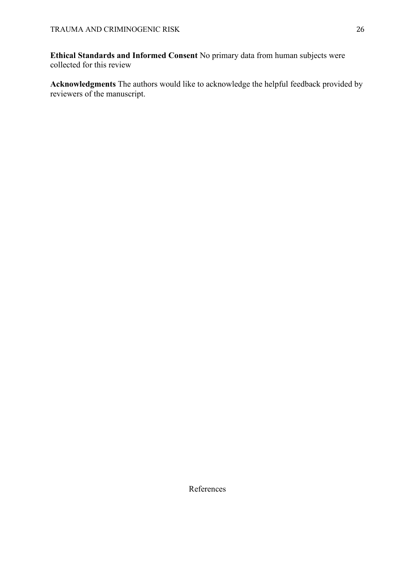**Ethical Standards and Informed Consent** No primary data from human subjects were collected for this review

**Acknowledgments** The authors would like to acknowledge the helpful feedback provided by reviewers of the manuscript.

References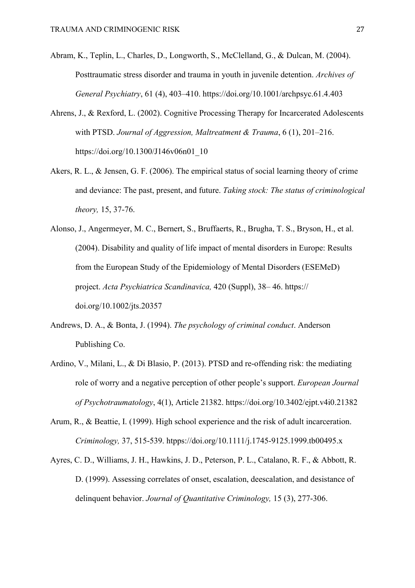- Abram, K., Teplin, L., Charles, D., Longworth, S., McClelland, G., & Dulcan, M. (2004). Posttraumatic stress disorder and trauma in youth in juvenile detention. *Archives of General Psychiatry*, 61 (4), 403–410.<https://doi.org/10.1001/archpsyc.61.4.403>
- Ahrens, J., & Rexford, L. (2002). Cognitive Processing Therapy for Incarcerated Adolescents with PTSD. *Journal of Aggression, Maltreatment & Trauma*, 6 (1), 201–216. [https://doi.org/10.1300/J146v06n01\\_10](https://doi.org/10.1300/J146v06n01_10)
- Akers, R. L., & Jensen, G. F. (2006). The empirical status of social learning theory of crime and deviance: The past, present, and future. *Taking stock: The status of criminological theory,* 15, 37-76.
- Alonso, J., Angermeyer, M. C., Bernert, S., Bruffaerts, R., Brugha, T. S., Bryson, H., et al. (2004). Disability and quality of life impact of mental disorders in Europe: Results from the European Study of the Epidemiology of Mental Disorders (ESEMeD) project. *Acta Psychiatrica Scandinavica,* 420 (Suppl), 38– 46. https:// doi.org/10.1002/jts.20357
- Andrews, D. A., & Bonta, J. (1994). *The psychology of criminal conduct*. Anderson Publishing Co.
- Ardino, V., Milani, L., & Di Blasio, P. (2013). PTSD and re-offending risk: the mediating role of worry and a negative perception of other people's support. *European Journal of Psychotraumatology*, 4(1), Article 21382. https://doi.org/10.3402/ejpt.v4i0.21382
- Arum, R., & Beattie, I. (1999). High school experience and the risk of adult incarceration. *Criminology,* 37, 515-539. htpps://doi.org/10.1111/j.1745-9125.1999.tb00495.x
- Ayres, C. D., Williams, J. H., Hawkins, J. D., Peterson, P. L., Catalano, R. F., & Abbott, R. D. (1999). Assessing correlates of onset, escalation, deescalation, and desistance of delinquent behavior. *Journal of Quantitative Criminology,* 15 (3), 277-306.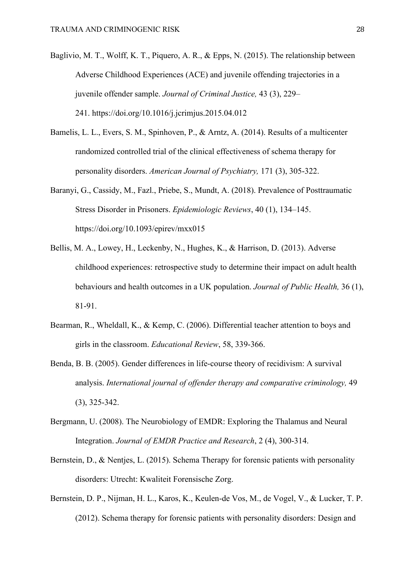- Baglivio, M. T., Wolff, K. T., Piquero, A. R., & Epps, N. (2015). The relationship between Adverse Childhood Experiences (ACE) and juvenile offending trajectories in a juvenile offender sample. *Journal of Criminal Justice,* 43 (3), 229– 241. [https://doi.org/10.1016/j.jcrimjus.2015.04.012](https://psycnet.apa.org/doi/10.1016/j.jcrimjus.2015.04.012)
- Bamelis, L. L., Evers, S. M., Spinhoven, P., & Arntz, A. (2014). Results of a multicenter randomized controlled trial of the clinical effectiveness of schema therapy for personality disorders. *American Journal of Psychiatry,* 171 (3), 305-322.
- Baranyi, G., Cassidy, M., Fazl., Priebe, S., Mundt, A. (2018). Prevalence of Posttraumatic Stress Disorder in Prisoners. *Epidemiologic Reviews*, 40 (1), 134–145. <https://doi.org/10.1093/epirev/mxx015>
- Bellis, M. A., Lowey, H., Leckenby, N., Hughes, K., & Harrison, D. (2013). Adverse childhood experiences: retrospective study to determine their impact on adult health behaviours and health outcomes in a UK population. *Journal of Public Health,* 36 (1), 81-91.
- Bearman, R., Wheldall, K., & Kemp, C. (2006). Differential teacher attention to boys and girls in the classroom. *Educational Review*, 58, 339-366.
- Benda, B. B. (2005). Gender differences in life-course theory of recidivism: A survival analysis. *International journal of offender therapy and comparative criminology,* 49 (3), 325-342.
- Bergmann, U. (2008). The Neurobiology of EMDR: Exploring the Thalamus and Neural Integration. *Journal of EMDR Practice and Research*, 2 (4), 300-314.
- Bernstein, D., & Nentjes, L. (2015). Schema Therapy for forensic patients with personality disorders: Utrecht: Kwaliteit Forensische Zorg.
- Bernstein, D. P., Nijman, H. L., Karos, K., Keulen-de Vos, M., de Vogel, V., & Lucker, T. P. (2012). Schema therapy for forensic patients with personality disorders: Design and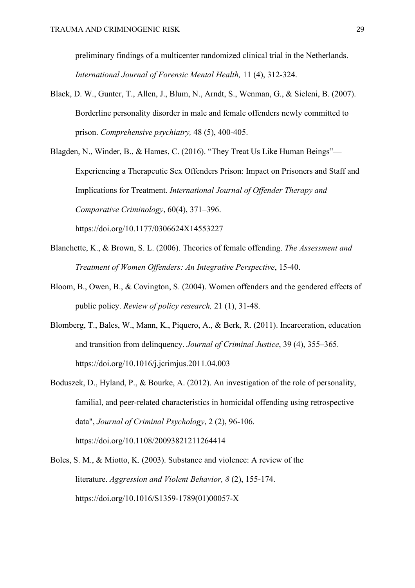preliminary findings of a multicenter randomized clinical trial in the Netherlands. *International Journal of Forensic Mental Health,* 11 (4), 312-324.

Black, D. W., Gunter, T., Allen, J., Blum, N., Arndt, S., Wenman, G., & Sieleni, B. (2007). Borderline personality disorder in male and female offenders newly committed to prison. *Comprehensive psychiatry,* 48 (5), 400-405.

Blagden, N., Winder, B., & Hames, C. (2016). "They Treat Us Like Human Beings"— Experiencing a Therapeutic Sex Offenders Prison: Impact on Prisoners and Staff and Implications for Treatment. *International Journal of Offender Therapy and Comparative Criminology*, 60(4), 371–396. https://doi.org/10.1177/0306624X14553227

- Blanchette, K., & Brown, S. L. (2006). Theories of female offending. *The Assessment and Treatment of Women Offenders: An Integrative Perspective*, 15-40.
- Bloom, B., Owen, B., & Covington, S. (2004). Women offenders and the gendered effects of public policy. *Review of policy research,* 21 (1), 31-48.
- Blomberg, T., Bales, W., Mann, K., Piquero, A., & Berk, R. (2011). Incarceration, education and transition from delinquency. *Journal of Criminal Justice*, 39 (4), 355–365. <https://doi.org/10.1016/j.jcrimjus.2011.04.003>
- [Boduszek, D.,](https://www.emerald.com/insight/search?q=Daniel%20Boduszek) [Hyland, P.,](https://www.emerald.com/insight/search?q=Philip%20Hyland) & [Bourke, A.](https://www.emerald.com/insight/search?q=Ashling%20Bourke) (2012). An investigation of the role of personality, familial, and peer‐related characteristics in homicidal offending using retrospective data", *[Journal of Criminal Psychology](https://www.emerald.com/insight/publication/issn/2009-3829)*, 2 (2), 96-106. <https://doi.org/10.1108/20093821211264414>
- Boles, S. M., & Miotto, K. (2003). Substance and violence: A review of the literature. *Aggression and Violent Behavior, 8* (2), 155-174. [https://doi.org/10.1016/S1359-1789\(01\)00057-X](https://doi.org/10.1016/S1359-1789(01)00057-X)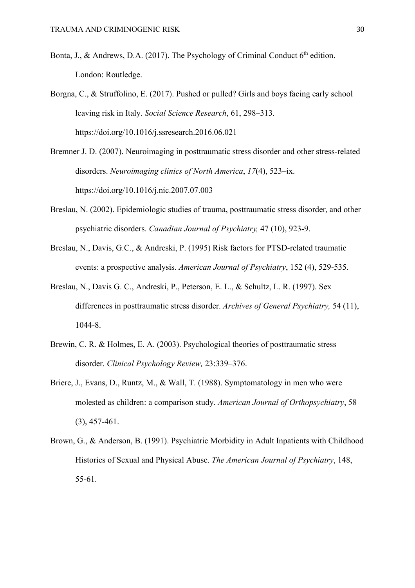- Bonta, J., & Andrews, D.A. (2017). The Psychology of Criminal Conduct  $6<sup>th</sup>$  edition. London: Routledge.
- Borgna, C., & Struffolino, E. (2017). Pushed or pulled? Girls and boys facing early school leaving risk in Italy. *Social Science Research*, 61, 298–313. <https://doi.org/10.1016/j.ssresearch.2016.06.021>
- Bremner J. D. (2007). Neuroimaging in posttraumatic stress disorder and other stress-related disorders. *Neuroimaging clinics of North America*, *17*(4), 523–ix. https://doi.org/10.1016/j.nic.2007.07.003
- Breslau, N. (2002). Epidemiologic studies of trauma, posttraumatic stress disorder, and other psychiatric disorders. *Canadian Journal of Psychiatry,* 47 (10), 923-9.
- Breslau, N., Davis, G.C., & Andreski, P. (1995) Risk factors for PTSD-related traumatic events: a prospective analysis. *American Journal of Psychiatry*, 152 (4), 529-535.
- Breslau, N., Davis G. C., Andreski, P., Peterson, E. L., & Schultz, L. R. (1997). Sex differences in posttraumatic stress disorder. *Archives of General Psychiatry,* 54 (11), 1044-8.
- Brewin, C. R. & Holmes, E. A. (2003). Psychological theories of posttraumatic stress disorder. *Clinical Psychology Review,* 23:339–376.
- Briere, J., Evans, D., Runtz, M., & Wall, T. (1988). Symptomatology in men who were molested as children: a comparison study. *American Journal of Orthopsychiatry*, 58 (3), 457-461.
- Brown, G., & Anderson, B. (1991). Psychiatric Morbidity in Adult Inpatients with Childhood Histories of Sexual and Physical Abuse. *The American Journal of Psychiatry*, 148, 55-61.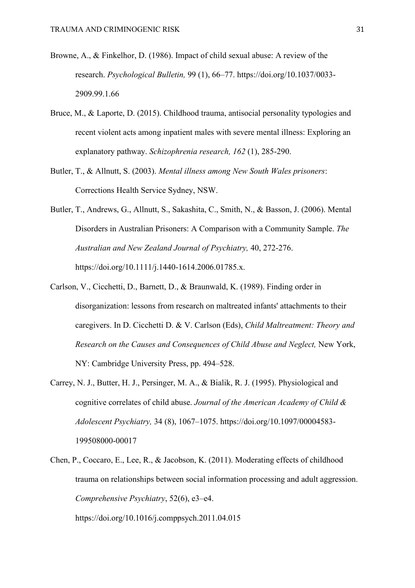- Browne, A., & Finkelhor, D. (1986). Impact of child sexual abuse: A review of the research. *Psychological Bulletin,* 99 (1), 66–77. [https://doi.org/10.1037/0033-](https://psycnet.apa.org/doi/10.1037/0033-2909.99.1.66) [2909.99.1.66](https://psycnet.apa.org/doi/10.1037/0033-2909.99.1.66)
- Bruce, M., & Laporte, D. (2015). Childhood trauma, antisocial personality typologies and recent violent acts among inpatient males with severe mental illness: Exploring an explanatory pathway. *Schizophrenia research, 162* (1), 285-290.
- Butler, T., & Allnutt, S. (2003). *Mental illness among New South Wales prisoners*: Corrections Health Service Sydney, NSW.
- Butler, T., Andrews, G., Allnutt, S., Sakashita, C., Smith, N., & Basson, J. (2006). Mental Disorders in Australian Prisoners: A Comparison with a Community Sample. *The Australian and New Zealand Journal of Psychiatry,* 40, 272-276. https://doi.org/10.1111/j.1440-1614.2006.01785.x.
- Carlson, V., Cicchetti, D., Barnett, D., & Braunwald, K. (1989). Finding order in disorganization: lessons from research on maltreated infants' attachments to their caregivers. In D. Cicchetti D. & V. Carlson (Eds), *Child Maltreatment: Theory and Research on the Causes and Consequences of Child Abuse and Neglect,* New York, NY: Cambridge University Press, pp. 494–528.
- Carrey, N. J., Butter, H. J., Persinger, M. A., & Bialik, R. J. (1995). Physiological and cognitive correlates of child abuse. *Journal of the American Academy of Child & Adolescent Psychiatry,* 34 (8), 1067–1075. [https://doi.org/10.1097/00004583-](https://psycnet.apa.org/doi/10.1097/00004583-199508000-00017) [199508000-00017](https://psycnet.apa.org/doi/10.1097/00004583-199508000-00017)
- Chen, P., Coccaro, E., Lee, R., & Jacobson, K. (2011). Moderating effects of childhood trauma on relationships between social information processing and adult aggression. *Comprehensive Psychiatry*, 52(6), e3–e4.

https://doi.org/10.1016/j.comppsych.2011.04.015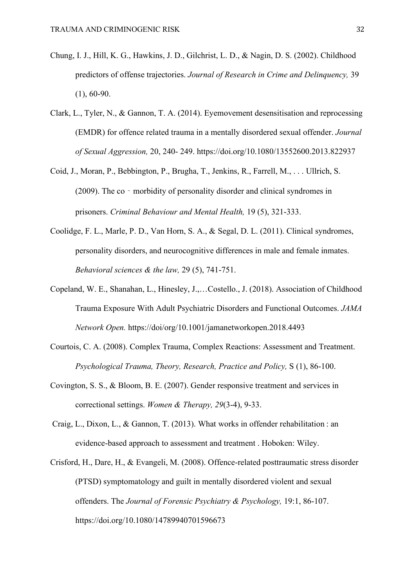- Chung, I. J., Hill, K. G., Hawkins, J. D., Gilchrist, L. D., & Nagin, D. S. (2002). Childhood predictors of offense trajectories. *Journal of Research in Crime and Delinquency,* 39  $(1), 60-90.$
- Clark, L., Tyler, N., & Gannon, T. A. (2014). Eyemovement desensitisation and reprocessing (EMDR) for offence related trauma in a mentally disordered sexual offender. *Journal of Sexual Aggression,* 20, 240- 249. https://doi.org/10.1080/13552600.2013.822937
- Coid, J., Moran, P., Bebbington, P., Brugha, T., Jenkins, R., Farrell, M., . . . Ullrich, S. (2009). The co – morbidity of personality disorder and clinical syndromes in prisoners. *Criminal Behaviour and Mental Health,* 19 (5), 321-333.
- Coolidge, F. L., Marle, P. D., Van Horn, S. A., & Segal, D. L. (2011). Clinical syndromes, personality disorders, and neurocognitive differences in male and female inmates. *Behavioral sciences & the law,* 29 (5), 741-751.
- Copeland, W. E., Shanahan, L., Hinesley, J.,…Costello., J. (2018). Association of Childhood Trauma Exposure With Adult Psychiatric Disorders and Functional Outcomes. *JAMA Network Open.* https://doi/org/10.1001/jamanetworkopen.2018.4493
- Courtois, C. A. (2008). Complex Trauma, Complex Reactions: Assessment and Treatment. *Psychological Trauma, Theory, Research, Practice and Policy,* S (1), 86-100.
- Covington, S. S., & Bloom, B. E. (2007). Gender responsive treatment and services in correctional settings. *Women & Therapy, 29*(3-4), 9-33.
- Craig, L., Dixon, L., & Gannon, T. (2013). What works in offender rehabilitation : an evidence-based approach to assessment and treatment . Hoboken: Wiley.
- Crisford, H., Dare, H., & Evangeli, M. (2008). Offence-related posttraumatic stress disorder (PTSD) symptomatology and guilt in mentally disordered violent and sexual offenders. The *Journal of Forensic Psychiatry & Psychology,* 19:1, 86-107. https://doi.org[/10.1080/14789940701596673](https://doi.org/10.1080/14789940701596673)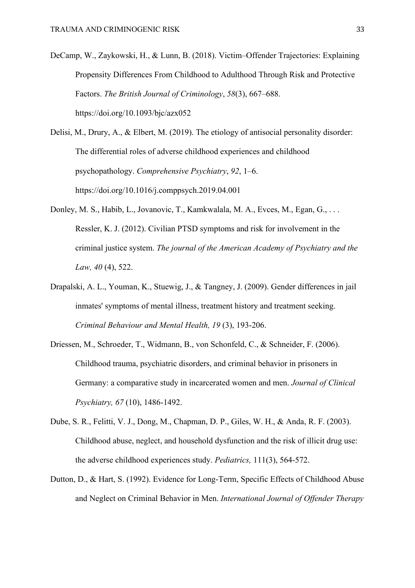DeCamp, W., Zaykowski, H., & Lunn, B. (2018). Victim–Offender Trajectories: Explaining Propensity Differences From Childhood to Adulthood Through Risk and Protective Factors. *The British Journal of Criminology*, *58*(3), 667–688. <https://doi.org/10.1093/bjc/azx052>

Delisi, M., Drury, A., & Elbert, M. (2019). The etiology of antisocial personality disorder: The differential roles of adverse childhood experiences and childhood psychopathology. *Comprehensive Psychiatry*, *92*, 1–6. https://doi.org/10.1016/j.comppsych.2019.04.001

- Donley, M. S., Habib, L., Jovanovic, T., Kamkwalala, M. A., Evces, M., Egan, G., . . . Ressler, K. J. (2012). Civilian PTSD symptoms and risk for involvement in the criminal justice system. *The journal of the American Academy of Psychiatry and the Law, 40* (4), 522.
- Drapalski, A. L., Youman, K., Stuewig, J., & Tangney, J. (2009). Gender differences in jail inmates' symptoms of mental illness, treatment history and treatment seeking. *Criminal Behaviour and Mental Health, 19* (3), 193-206.
- Driessen, M., Schroeder, T., Widmann, B., von Schonfeld, C., & Schneider, F. (2006). Childhood trauma, psychiatric disorders, and criminal behavior in prisoners in Germany: a comparative study in incarcerated women and men. *Journal of Clinical Psychiatry, 67* (10), 1486-1492.
- Dube, S. R., Felitti, V. J., Dong, M., Chapman, D. P., Giles, W. H., & Anda, R. F. (2003). Childhood abuse, neglect, and household dysfunction and the risk of illicit drug use: the adverse childhood experiences study. *Pediatrics,* 111(3), 564-572.
- Dutton, D., & Hart, S. (1992). Evidence for Long-Term, Specific Effects of Childhood Abuse and Neglect on Criminal Behavior in Men. *International Journal of Offender Therapy*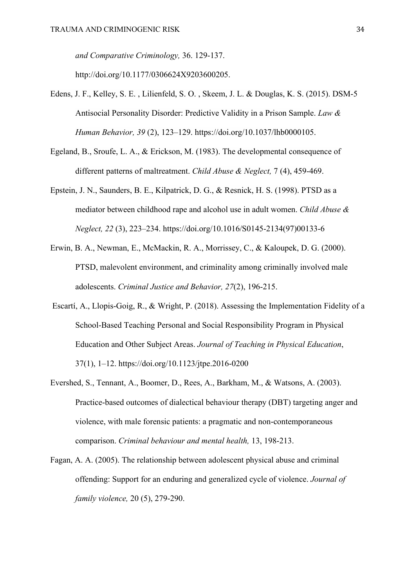*and Comparative Criminology,* 36. 129-137.

http://doi.org/10.1177/0306624X9203600205.

- Edens, J. F., Kelley, S. E. , Lilienfeld, S. O. , Skeem, J. L. & Douglas, K. S. (2015). DSM-5 Antisocial Personality Disorder: Predictive Validity in a Prison Sample. *Law & Human Behavior, 39* (2), 123–129. https://doi.org/10.1037/lhb0000105.
- Egeland, B., Sroufe, L. A., & Erickson, M. (1983). The developmental consequence of different patterns of maltreatment. *Child Abuse & Neglect,* 7 (4), 459-469.
- Epstein, J. N., Saunders, B. E., Kilpatrick, D. G., & Resnick, H. S. (1998). PTSD as a mediator between childhood rape and alcohol use in adult women. *Child Abuse & Neglect, 22* (3), 223–234. [https://doi.org/10.1016/S0145-2134\(97\)00133-6](https://psycnet.apa.org/doi/10.1016/S0145-2134(97)00133-6)
- Erwin, B. A., Newman, E., McMackin, R. A., Morrissey, C., & Kaloupek, D. G. (2000). PTSD, malevolent environment, and criminality among criminally involved male adolescents. *Criminal Justice and Behavior, 27*(2), 196-215.
- Escartí, A., Llopis-Goig, R., & Wright, P. (2018). Assessing the Implementation Fidelity of a School-Based Teaching Personal and Social Responsibility Program in Physical Education and Other Subject Areas. *Journal of Teaching in Physical Education*, 37(1), 1–12.<https://doi.org/10.1123/jtpe.2016-0200>
- Evershed, S., Tennant, A., Boomer, D., Rees, A., Barkham, M., & Watsons, A. (2003). Practice-based outcomes of dialectical behaviour therapy (DBT) targeting anger and violence, with male forensic patients: a pragmatic and non-contemporaneous comparison. *Criminal behaviour and mental health,* 13, 198-213.
- Fagan, A. A. (2005). The relationship between adolescent physical abuse and criminal offending: Support for an enduring and generalized cycle of violence. *Journal of family violence,* 20 (5), 279-290.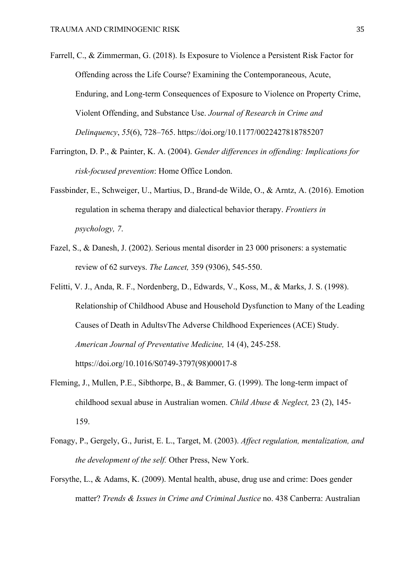Farrell, C., & Zimmerman, G. (2018). Is Exposure to Violence a Persistent Risk Factor for Offending across the Life Course? Examining the Contemporaneous, Acute, Enduring, and Long-term Consequences of Exposure to Violence on Property Crime, Violent Offending, and Substance Use. *Journal of Research in Crime and Delinquency*, *55*(6), 728–765. https://doi.org/10.1177/0022427818785207

- Farrington, D. P., & Painter, K. A. (2004). *Gender differences in offending: Implications for risk-focused prevention*: Home Office London.
- Fassbinder, E., Schweiger, U., Martius, D., Brand-de Wilde, O., & Arntz, A. (2016). Emotion regulation in schema therapy and dialectical behavior therapy. *Frontiers in psychology, 7*.
- Fazel, S., & Danesh, J. (2002). Serious mental disorder in 23 000 prisoners: a systematic review of 62 surveys. *The Lancet,* 359 (9306), 545-550.
- Felitti, V. J., Anda, R. F., Nordenberg, D., Edwards, V., Koss, M., & Marks, J. S. (1998). Relationship of Childhood Abuse and Household Dysfunction to Many of the Leading Causes of Death in AdultsvThe Adverse Childhood Experiences (ACE) Study. *American Journal of Preventative Medicine,* 14 (4), 245-258. https://doi.org/10.1016/S0749-3797(98)00017-8
- Fleming, J., Mullen, P.E., Sibthorpe, B., & Bammer, G. (1999). The long-term impact of childhood sexual abuse in Australian women. *Child Abuse & Neglect,* 23 (2), 145- 159.
- Fonagy, P., Gergely, G., Jurist, E. L., Target, M. (2003). *Affect regulation, mentalization, and the development of the self.* Other Press, New York.
- Forsythe, L., & Adams, K. (2009). Mental health, abuse, drug use and crime: Does gender matter? *Trends & Issues in Crime and Criminal Justice* no. 438 Canberra: Australian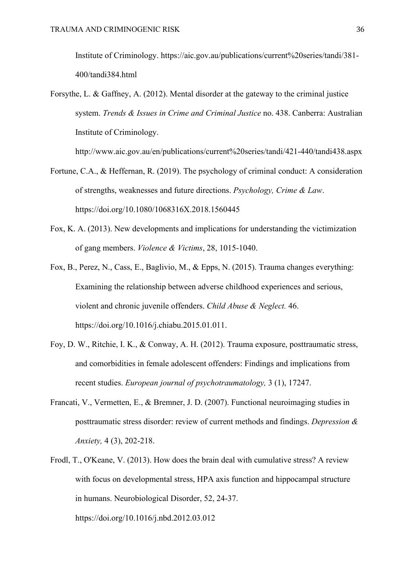Institute of Criminology. https://aic.gov.au/publications/current%20series/tandi/381- 400/tandi384.html

Forsythe, L. & Gaffney, A. (2012). Mental disorder at the gateway to the criminal justice system. *Trends & Issues in Crime and Criminal Justice* no. 438. Canberra: Australian Institute of Criminology.

<http://www.aic.gov.au/en/publications/current%20series/tandi/421-440/tandi438.aspx>

- Fortune, C.A., & Heffernan, R. (2019). The psychology of criminal conduct: A consideration of strengths, weaknesses and future directions. *Psychology, Crime & Law*. https://doi.org[/10.1080/1068316X.2018.1560445](https://dx.doi.org/10.1080/1068316X.2018.1560445)
- Fox, K. A. (2013). New developments and implications for understanding the victimization of gang members. *Violence & Victims*, 28, 1015-1040.
- Fox, B., Perez, N., Cass, E., Baglivio, M., & Epps, N. (2015). Trauma changes everything: Examining the relationship between adverse childhood experiences and serious, violent and chronic juvenile offenders. *Child Abuse & Neglect.* 46. https://doi.org/10.1016/j.chiabu.2015.01.011.
- Foy, D. W., Ritchie, I. K., & Conway, A. H. (2012). Trauma exposure, posttraumatic stress, and comorbidities in female adolescent offenders: Findings and implications from recent studies. *European journal of psychotraumatology,* 3 (1), 17247.
- Francati, V., Vermetten, E., & Bremner, J. D. (2007). Functional neuroimaging studies in posttraumatic stress disorder: review of current methods and findings. *Depression & Anxiety,* 4 (3), 202-218.
- Frodl, T., O'Keane, V. (2013). How does the brain deal with cumulative stress? A review with focus on developmental stress, HPA axis function and hippocampal structure in humans. Neurobiological Disorder, 52, 24-37. https://doi.org/10.1016/j.nbd.2012.03.012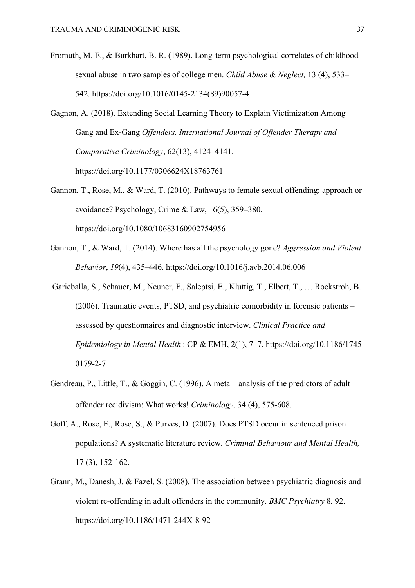Fromuth, M. E., & Burkhart, B. R. (1989). Long-term psychological correlates of childhood sexual abuse in two samples of college men. *Child Abuse & Neglect,* 13 (4), 533– 542. [https://doi.org/10.1016/0145-2134\(89\)90057-4](https://psycnet.apa.org/doi/10.1016/0145-2134(89)90057-4)

Gagnon, A. (2018). Extending Social Learning Theory to Explain Victimization Among Gang and Ex-Gang *Offenders. International Journal of Offender Therapy and Comparative Criminology*, 62(13), 4124–4141. https://doi.org/10.1177/0306624X18763761

- Gannon, T., Rose, M., & Ward, T. (2010). Pathways to female sexual offending: approach or avoidance? Psychology, Crime & Law, 16(5), 359–380. https://doi.org/10.1080/10683160902754956
- Gannon, T., & Ward, T. (2014). Where has all the psychology gone? *Aggression and Violent Behavior*, *19*(4), 435–446. https://doi.org/10.1016/j.avb.2014.06.006
- Garieballa, S., Schauer, M., Neuner, F., Saleptsi, E., Kluttig, T., Elbert, T., … Rockstroh, B. (2006). Traumatic events, PTSD, and psychiatric comorbidity in forensic patients – assessed by questionnaires and diagnostic interview. *Clinical Practice and Epidemiology in Mental Health*: CP & EMH, 2(1), 7–7. https://doi.org/10.1186/1745- 0179-2-7
- Gendreau, P., Little, T., & Goggin, C. (1996). A meta analysis of the predictors of adult offender recidivism: What works! *Criminology,* 34 (4), 575-608.
- Goff, A., Rose, E., Rose, S., & Purves, D. (2007). Does PTSD occur in sentenced prison populations? A systematic literature review. *Criminal Behaviour and Mental Health,*  17 (3), 152-162.
- Grann, M., Danesh, J. & Fazel, S. (2008). The association between psychiatric diagnosis and violent re-offending in adult offenders in the community. *BMC Psychiatry* 8, 92. <https://doi.org/10.1186/1471-244X-8-92>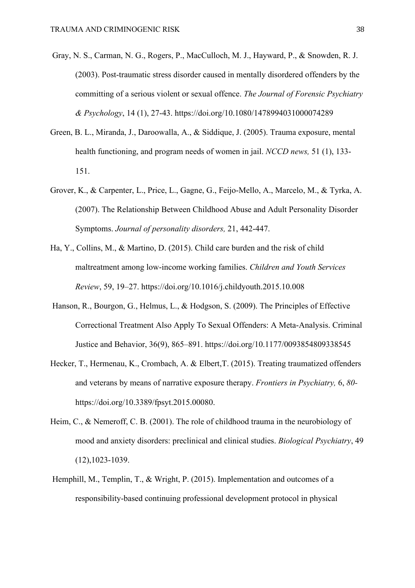- Gray, N. S., Carman, N. G., Rogers, P., MacCulloch, M. J., Hayward, P., & Snowden, R. J. (2003). Post-traumatic stress disorder caused in mentally disordered offenders by the committing of a serious violent or sexual offence. *The Journal of Forensic Psychiatry & Psychology*, 14 (1), 27-43. https://doi.org[/10.1080/1478994031000074289](https://doi.org/10.1080/1478994031000074289)
- Green, B. L., Miranda, J., Daroowalla, A., & Siddique, J. (2005). Trauma exposure, mental health functioning, and program needs of women in jail. *NCCD news,* 51 (1), 133- 151.
- Grover, K., & Carpenter, L., Price, L., Gagne, G., Feijo-Mello, A., Marcelo, M., & Tyrka, A. (2007). The Relationship Between Childhood Abuse and Adult Personality Disorder Symptoms. *Journal of personality disorders,* 21, 442-447.
- Ha, Y., Collins, M., & Martino, D. (2015). Child care burden and the risk of child maltreatment among low-income working families. *Children and Youth Services Review*, 59, 19–27. https://doi.org/10.1016/j.childyouth.2015.10.008
- Hanson, R., Bourgon, G., Helmus, L., & Hodgson, S. (2009). The Principles of Effective Correctional Treatment Also Apply To Sexual Offenders: A Meta-Analysis. Criminal Justice and Behavior, 36(9), 865–891. https://doi.org/10.1177/0093854809338545
- Hecker, T., Hermenau, K., Crombach, A. & Elbert,T. (2015). Treating traumatized offenders and veterans by means of narrative exposure therapy. *Frontiers in Psychiatry,* 6, *80* [https://doi.org/10.3389/fpsyt.2015.00080.](https://doi.org/10.3389/fpsyt.2015.00080)
- Heim, C., & Nemeroff, C. B. (2001). The role of childhood trauma in the neurobiology of mood and anxiety disorders: preclinical and clinical studies. *Biological Psychiatry*, 49 (12),1023-1039.
- Hemphill, M., Templin, T., & Wright, P. (2015). Implementation and outcomes of a responsibility-based continuing professional development protocol in physical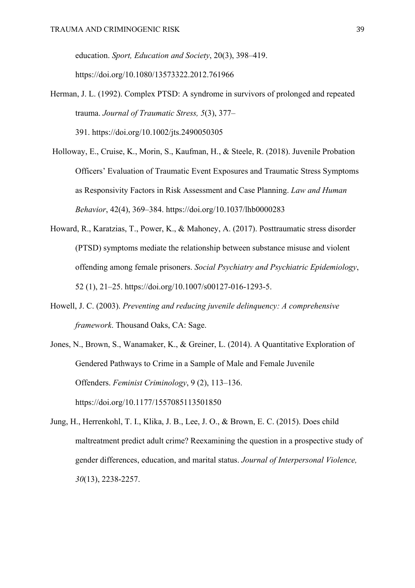education. *Sport, Education and Society*, 20(3), 398–419. <https://doi.org/10.1080/13573322.2012.761966>

Herman, J. L. (1992). Complex PTSD: A syndrome in survivors of prolonged and repeated trauma. *Journal of Traumatic Stress, 5*(3), 377–

391. [https://doi.org/10.1002/jts.2490050305](https://psycnet.apa.org/doi/10.1002/jts.2490050305)

- Holloway, E., Cruise, K., Morin, S., Kaufman, H., & Steele, R. (2018). Juvenile Probation Officers' Evaluation of Traumatic Event Exposures and Traumatic Stress Symptoms as Responsivity Factors in Risk Assessment and Case Planning. *Law and Human Behavior*, 42(4), 369–384. https://doi.org/10.1037/lhb0000283
- Howard, R., Karatzias, T., Power, K., & Mahoney, A. (2017). Posttraumatic stress disorder (PTSD) symptoms mediate the relationship between substance misuse and violent offending among female prisoners. *Social Psychiatry and Psychiatric Epidemiology*, 52 (1), 21–25. [https://doi.org/10.1007/s00127-016-1293-5.](https://doi.org/10.1007/s00127-016-1293-5)
- Howell, J. C. (2003). *Preventing and reducing juvenile delinquency: A comprehensive framework*. Thousand Oaks, CA: Sage.
- Jones, N., Brown, S., Wanamaker, K., & Greiner, L. (2014). A Quantitative Exploration of Gendered Pathways to Crime in a Sample of Male and Female Juvenile Offenders. *Feminist Criminology*, 9 (2), 113–136. https://doi.org/10.1177/1557085113501850
- Jung, H., Herrenkohl, T. I., Klika, J. B., Lee, J. O., & Brown, E. C. (2015). Does child maltreatment predict adult crime? Reexamining the question in a prospective study of gender differences, education, and marital status. *Journal of Interpersonal Violence, 30*(13), 2238-2257.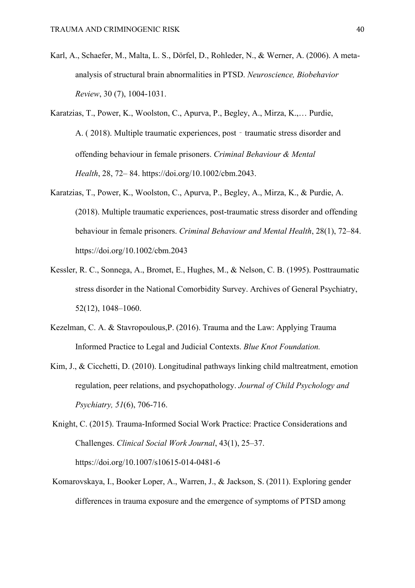- Karl, A., Schaefer, M., Malta, L. S., Dörfel, D., Rohleder, N., & Werner, A. (2006). A metaanalysis of structural brain abnormalities in PTSD. *Neuroscience, Biobehavior Review*, 30 (7), 1004-1031.
- Karatzias, T., Power, K., Woolston, C., Apurva, P., Begley, A., Mirza, K.,… Purdie, A. (2018). Multiple traumatic experiences, post - traumatic stress disorder and offending behaviour in female prisoners. *Criminal Behaviour & Mental Health*, 28, 72– 84. https://doi.org[/10.1002/cbm.2043.](https://doi.org/10.1002/cbm.2043)
- Karatzias, T., Power, K., Woolston, C., Apurva, P., Begley, A., Mirza, K., & Purdie, A. (2018). Multiple traumatic experiences, post‐traumatic stress disorder and offending behaviour in female prisoners. *Criminal Behaviour and Mental Health*, 28(1), 72–84. <https://doi.org/10.1002/cbm.2043>
- Kessler, R. C., Sonnega, A., Bromet, E., Hughes, M., & Nelson, C. B. (1995). Posttraumatic stress disorder in the National Comorbidity Survey. Archives of General Psychiatry, 52(12), 1048–1060.
- Kezelman, C. A. & Stavropoulous,P. (2016). Trauma and the Law: Applying Trauma Informed Practice to Legal and Judicial Contexts. *Blue Knot Foundation.*
- Kim, J., & Cicchetti, D. (2010). Longitudinal pathways linking child maltreatment, emotion regulation, peer relations, and psychopathology. *Journal of Child Psychology and Psychiatry, 51*(6), 706-716.
- Knight, C. (2015). Trauma-Informed Social Work Practice: Practice Considerations and Challenges. *Clinical Social Work Journal*, 43(1), 25–37. https://doi.org/10.1007/s10615-014-0481-6
- Komarovskaya, I., Booker Loper, A., Warren, J., & Jackson, S. (2011). Exploring gender differences in trauma exposure and the emergence of symptoms of PTSD among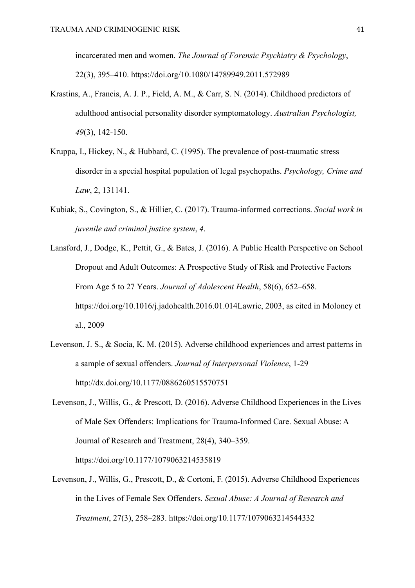incarcerated men and women. *The Journal of Forensic Psychiatry & Psychology*, 22(3), 395–410.<https://doi.org/10.1080/14789949.2011.572989>

- Krastins, A., Francis, A. J. P., Field, A. M., & Carr, S. N. (2014). Childhood predictors of adulthood antisocial personality disorder symptomatology. *Australian Psychologist, 49*(3), 142-150.
- Kruppa, I., Hickey, N., & Hubbard, C. (1995). The prevalence of post-traumatic stress disorder in a special hospital population of legal psychopaths. *Psychology, Crime and Law*, 2, 131141.
- Kubiak, S., Covington, S., & Hillier, C. (2017). Trauma-informed corrections. *Social work in juvenile and criminal justice system*, *4*.
- Lansford, J., Dodge, K., Pettit, G., & Bates, J. (2016). A Public Health Perspective on School Dropout and Adult Outcomes: A Prospective Study of Risk and Protective Factors From Age 5 to 27 Years. *Journal of Adolescent Health*, 58(6), 652–658. https://doi.org/10.1016/j.jadohealth.2016.01.014Lawrie, 2003, as cited in Moloney et al., 2009
- Levenson, J. S., & Socia, K. M. (2015). Adverse childhood experiences and arrest patterns in a sample of sexual offenders. *Journal of Interpersonal Violence*, 1-29 <http://dx.doi.org/10.1177/0886260515570751>
- Levenson, J., Willis, G., & Prescott, D. (2016). Adverse Childhood Experiences in the Lives of Male Sex Offenders: Implications for Trauma-Informed Care. Sexual Abuse: A Journal of Research and Treatment, 28(4), 340–359. https://doi.org/10.1177/1079063214535819
- Levenson, J., Willis, G., Prescott, D., & Cortoni, F. (2015). Adverse Childhood Experiences in the Lives of Female Sex Offenders. *Sexual Abuse: A Journal of Research and Treatment*, 27(3), 258–283. https://doi.org/10.1177/1079063214544332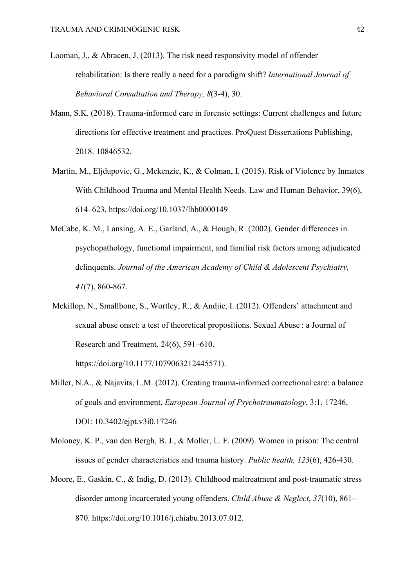- Looman, J., & Abracen, J. (2013). The risk need responsivity model of offender rehabilitation: Is there really a need for a paradigm shift? *International Journal of Behavioral Consultation and Therapy, 8*(3-4), 30.
- Mann, S.K. (2018). Trauma-informed care in forensic settings: Current challenges and future directions for effective treatment and practices. ProQuest Dissertations Publishing, 2018. 10846532.
- Martin, M., Eljdupovic, G., Mckenzie, K., & Colman, I. (2015). Risk of Violence by Inmates With Childhood Trauma and Mental Health Needs. Law and Human Behavior, 39(6), 614–623. https://doi.org/10.1037/lhb0000149
- McCabe, K. M., Lansing, A. E., Garland, A., & Hough, R. (2002). Gender differences in psychopathology, functional impairment, and familial risk factors among adjudicated delinquents. *Journal of the American Academy of Child & Adolescent Psychiatry, 41*(7), 860-867.
- Mckillop, N., Smallbone, S., Wortley, R., & Andjic, I. (2012). Offenders' attachment and sexual abuse onset: a test of theoretical propositions. Sexual Abuse : a Journal of Research and Treatment, 24(6), 591–610.

https://doi.org/10.1177/1079063212445571).

- Miller, N.A., & Najavits, L.M. (2012). Creating trauma-informed correctional care: a balance of goals and environment, *European Journal of Psychotraumatology*, 3:1, 17246, DOI: 10.3402/ejpt.v3i0.17246
- Moloney, K. P., van den Bergh, B. J., & Moller, L. F. (2009). Women in prison: The central issues of gender characteristics and trauma history. *Public health, 123*(6), 426-430.
- Moore, E., Gaskin, C., & Indig, D. (2013). Childhood maltreatment and post-traumatic stress disorder among incarcerated young offenders. *Child Abuse & Neglect*, *37*(10), 861– 870. [https://doi.org/10.1016/j.chiabu.2013.07.012.](https://doi.org/10.1016/j.chiabu.2013.07.012)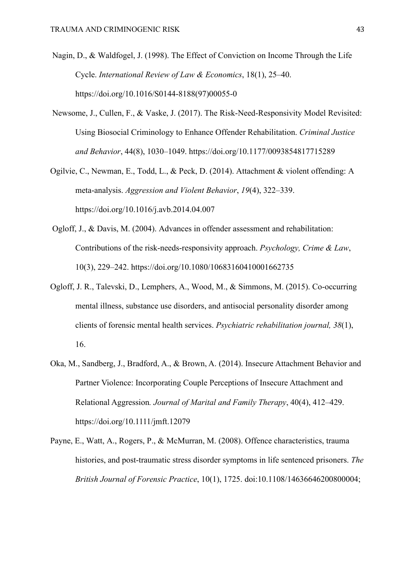- Nagin, D., & Waldfogel, J. (1998). The Effect of Conviction on Income Through the Life Cycle. *International Review of Law & Economics*, 18(1), 25–40. https://doi.org/10.1016/S0144-8188(97)00055-0
- Newsome, J., Cullen, F., & Vaske, J. (2017). The Risk-Need-Responsivity Model Revisited: Using Biosocial Criminology to Enhance Offender Rehabilitation. *Criminal Justice and Behavior*, 44(8), 1030–1049.<https://doi.org/10.1177/0093854817715289>
- Ogilvie, C., Newman, E., Todd, L., & Peck, D. (2014). Attachment & violent offending: A meta-analysis. *Aggression and Violent Behavior*, *19*(4), 322–339. <https://doi.org/10.1016/j.avb.2014.04.007>
- Ogloff, J., & Davis, M. (2004). Advances in offender assessment and rehabilitation: Contributions of the risk-needs-responsivity approach. *Psychology, Crime & Law*, 10(3), 229–242.<https://doi.org/10.1080/10683160410001662735>
- Ogloff, J. R., Talevski, D., Lemphers, A., Wood, M., & Simmons, M. (2015). Co-occurring mental illness, substance use disorders, and antisocial personality disorder among clients of forensic mental health services. *Psychiatric rehabilitation journal, 38*(1), 16.
- Oka, M., Sandberg, J., Bradford, A., & Brown, A. (2014). Insecure Attachment Behavior and Partner Violence: Incorporating Couple Perceptions of Insecure Attachment and Relational Aggression*. Journal of Marital and Family Therapy*, 40(4), 412–429. https://doi.org/10.1111/jmft.12079
- Payne, E., Watt, A., Rogers, P., & McMurran, M. (2008). Offence characteristics, trauma histories, and post-traumatic stress disorder symptoms in life sentenced prisoners. *The British Journal of Forensic Practice*, 10(1), 1725. doi:10.1108/14636646200800004;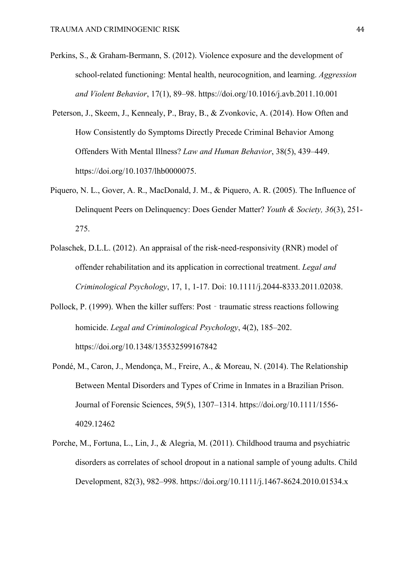- Perkins, S., & Graham-Bermann, S. (2012). Violence exposure and the development of school-related functioning: Mental health, neurocognition, and learning. *Aggression and Violent Behavior*, 17(1), 89–98. https://doi.org/10.1016/j.avb.2011.10.001
- Peterson, J., Skeem, J., Kennealy, P., Bray, B., & Zvonkovic, A. (2014). How Often and How Consistently do Symptoms Directly Precede Criminal Behavior Among Offenders With Mental Illness? *Law and Human Behavior*, 38(5), 439–449. https://doi.org/10.1037/lhb0000075.
- Piquero, N. L., Gover, A. R., MacDonald, J. M., & Piquero, A. R. (2005). The Influence of Delinquent Peers on Delinquency: Does Gender Matter? *Youth & Society, 36*(3), 251- 275.
- Polaschek, D.L.L. (2012). An appraisal of the risk-need-responsivity (RNR) model of offender rehabilitation and its application in correctional treatment. *Legal and Criminological Psychology*, 17, 1, 1-17. Doi: 10.1111/j.2044-8333.2011.02038.
- Pollock, P. (1999). When the killer suffers: Post traumatic stress reactions following homicide. *Legal and Criminological Psychology*, 4(2), 185–202. <https://doi.org/10.1348/135532599167842>
- Pondé, M., Caron, J., Mendonça, M., Freire, A., & Moreau, N. (2014). The Relationship Between Mental Disorders and Types of Crime in Inmates in a Brazilian Prison. Journal of Forensic Sciences, 59(5), 1307–1314. [https://doi.org/10.1111/1556-](https://doi.org/10.1111/1556-4029.12462) [4029.12462](https://doi.org/10.1111/1556-4029.12462)
- Porche, M., Fortuna, L., Lin, J., & Alegria, M. (2011). Childhood trauma and psychiatric disorders as correlates of school dropout in a national sample of young adults. Child Development, 82(3), 982–998. https://doi.org/10.1111/j.1467-8624.2010.01534.x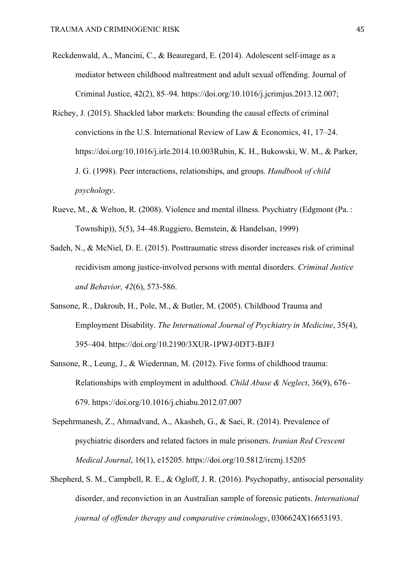- Reckdenwald, A., Mancini, C., & Beauregard, E. (2014). Adolescent self-image as a mediator between childhood maltreatment and adult sexual offending. Journal of Criminal Justice, 42(2), 85–94. https://doi.org/10.1016/j.jcrimjus.2013.12.007;
- Richey, J. (2015). Shackled labor markets: Bounding the causal effects of criminal convictions in the U.S. International Review of Law & Economics, 41, 17–24. https://doi.org/10.1016/j.irle.2014.10.003Rubin, K. H., Bukowski, W. M., & Parker, J. G. (1998). Peer interactions, relationships, and groups. *Handbook of child psychology*.
- Rueve, M., & Welton, R. (2008). Violence and mental illness. Psychiatry (Edgmont (Pa. : Township)), 5(5), 34–48.Ruggiero, Bemstein, & Handelsan, 1999)
- Sadeh, N., & McNiel, D. E. (2015). Posttraumatic stress disorder increases risk of criminal recidivism among justice-involved persons with mental disorders. *Criminal Justice and Behavior, 42*(6), 573-586.
- Sansone, R., Dakroub, H., Pole, M., & Butler, M. (2005). Childhood Trauma and Employment Disability. *The International Journal of Psychiatry in Medicine*, 35(4), 395–404.<https://doi.org/10.2190/3XUR-1PWJ-0DT3-BJFJ>
- Sansone, R., Leung, J., & Wiederman, M. (2012). Five forms of childhood trauma: Relationships with employment in adulthood. *Child Abuse & Neglect*, 36(9), 676– 679.<https://doi.org/10.1016/j.chiabu.2012.07.007>
- Sepehrmanesh, Z., Ahmadvand, A., Akasheh, G., & Saei, R. (2014). Prevalence of psychiatric disorders and related factors in male prisoners. *Iranian Red Crescent Medical Journal*, 16(1), e15205.<https://doi.org/10.5812/ircmj.15205>
- Shepherd, S. M., Campbell, R. E., & Ogloff, J. R. (2016). Psychopathy, antisocial personality disorder, and reconviction in an Australian sample of forensic patients. *International journal of offender therapy and comparative criminology*, 0306624X16653193.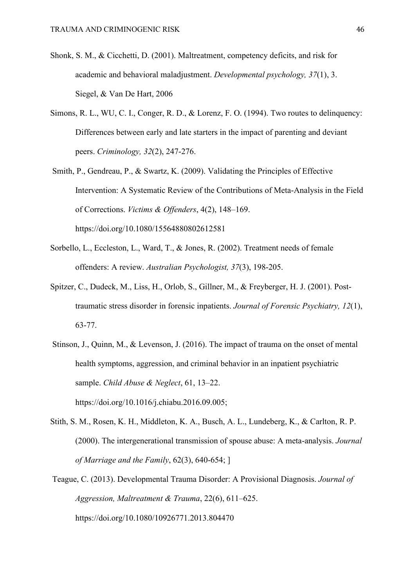- Shonk, S. M., & Cicchetti, D. (2001). Maltreatment, competency deficits, and risk for academic and behavioral maladjustment. *Developmental psychology, 37*(1), 3. Siegel, & Van De Hart, 2006
- Simons, R. L., WU, C. I., Conger, R. D., & Lorenz, F. O. (1994). Two routes to delinquency: Differences between early and late starters in the impact of parenting and deviant peers. *Criminology, 32*(2), 247-276.
- Smith, P., Gendreau, P., & Swartz, K. (2009). Validating the Principles of Effective Intervention: A Systematic Review of the Contributions of Meta-Analysis in the Field of Corrections. *Victims & Offenders*, 4(2), 148–169. https://doi.org/10.1080/15564880802612581
- Sorbello, L., Eccleston, L., Ward, T., & Jones, R. (2002). Treatment needs of female offenders: A review. *Australian Psychologist, 37*(3), 198-205.
- Spitzer, C., Dudeck, M., Liss, H., Orlob, S., Gillner, M., & Freyberger, H. J. (2001). Posttraumatic stress disorder in forensic inpatients. *Journal of Forensic Psychiatry, 12*(1), 63-77.
- Stinson, J., Quinn, M., & Levenson, J. (2016). The impact of trauma on the onset of mental health symptoms, aggression, and criminal behavior in an inpatient psychiatric sample. *Child Abuse & Neglect*, 61, 13–22. https://doi.org/10.1016/j.chiabu.2016.09.005;
- Stith, S. M., Rosen, K. H., Middleton, K. A., Busch, A. L., Lundeberg, K., & Carlton, R. P. (2000). The intergenerational transmission of spouse abuse: A meta-analysis. *Journal of Marriage and the Family*, 62(3), 640-654; ]
- Teague, C. (2013). Developmental Trauma Disorder: A Provisional Diagnosis. *Journal of Aggression, Maltreatment & Trauma*, 22(6), 611–625. <https://doi.org/10.1080/10926771.2013.804470>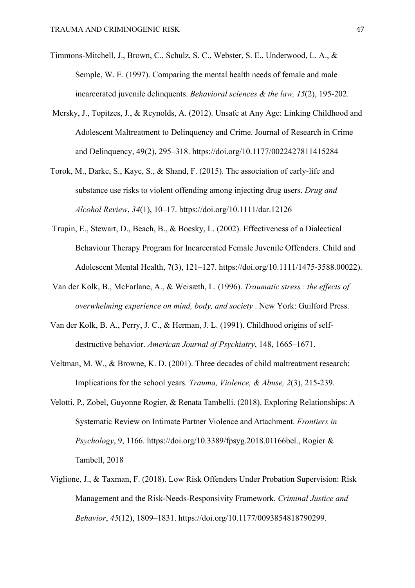- Timmons-Mitchell, J., Brown, C., Schulz, S. C., Webster, S. E., Underwood, L. A., & Semple, W. E. (1997). Comparing the mental health needs of female and male incarcerated juvenile delinquents. *Behavioral sciences & the law, 15*(2), 195-202.
- Mersky, J., Topitzes, J., & Reynolds, A. (2012). Unsafe at Any Age: Linking Childhood and Adolescent Maltreatment to Delinquency and Crime. Journal of Research in Crime and Delinquency, 49(2), 295–318.<https://doi.org/10.1177/0022427811415284>
- Torok, M., Darke, S., Kaye, S., & Shand, F. (2015). The association of early‐life and substance use risks to violent offending among injecting drug users. *Drug and Alcohol Review*, *34*(1), 10–17.<https://doi.org/10.1111/dar.12126>
- Trupin, E., Stewart, D., Beach, B., & Boesky, L. (2002). Effectiveness of a Dialectical Behaviour Therapy Program for Incarcerated Female Juvenile Offenders. Child and Adolescent Mental Health, 7(3), 121–127. https://doi.org/10.1111/1475-3588.00022).
- Van der Kolk, B., McFarlane, A., & Weisæth, L. (1996). *Traumatic stress : the effects of overwhelming experience on mind, body, and society* . New York: Guilford Press.
- Van der Kolk, B. A., Perry, J. C., & Herman, J. L. (1991). Childhood origins of selfdestructive behavior. *American Journal of Psychiatry*, 148, 1665–1671.
- Veltman, M. W., & Browne, K. D. (2001). Three decades of child maltreatment research: Implications for the school years. *Trauma, Violence, & Abuse, 2*(3), 215-239.
- Velotti, P., Zobel, Guyonne Rogier, & Renata Tambelli. (2018). Exploring Relationships: A Systematic Review on Intimate Partner Violence and Attachment. *Frontiers in Psychology*, 9, 1166. https://doi.org/10.3389/fpsyg.2018.01166bel., Rogier & Tambell, 2018
- Viglione, J., & Taxman, F. (2018). Low Risk Offenders Under Probation Supervision: Risk Management and the Risk-Needs-Responsivity Framework. *Criminal Justice and Behavior*, *45*(12), 1809–1831. [https://doi.org/10.1177/0093854818790299.](https://doi.org/10.1177/0093854818790299)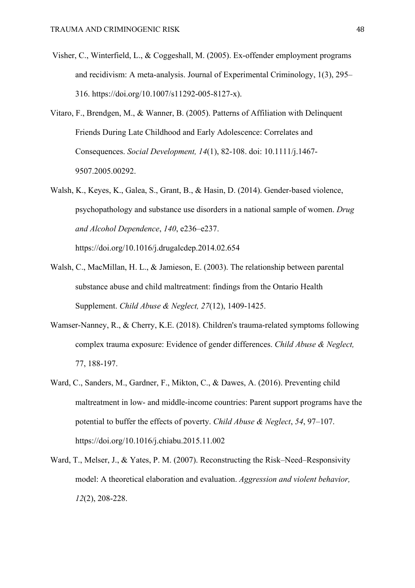- Visher, C., Winterfield, L., & Coggeshall, M. (2005). Ex-offender employment programs and recidivism: A meta-analysis. Journal of Experimental Criminology, 1(3), 295– 316. https://doi.org/10.1007/s11292-005-8127-x).
- Vitaro, F., Brendgen, M., & Wanner, B. (2005). Patterns of Affiliation with Delinquent Friends During Late Childhood and Early Adolescence: Correlates and Consequences. *Social Development, 14*(1), 82-108. doi: 10.1111/j.1467- 9507.2005.00292.
- Walsh, K., Keyes, K., Galea, S., Grant, B., & Hasin, D. (2014). Gender-based violence, psychopathology and substance use disorders in a national sample of women. *Drug and Alcohol Dependence*, *140*, e236–e237.

https://doi.org/10.1016/j.drugalcdep.2014.02.654

- Walsh, C., MacMillan, H. L., & Jamieson, E. (2003). The relationship between parental substance abuse and child maltreatment: findings from the Ontario Health Supplement. *Child Abuse & Neglect, 27*(12), 1409-1425.
- Wamser-Nanney, R., & Cherry, K.E. (2018). Children's trauma-related symptoms following complex trauma exposure: Evidence of gender differences. *Child Abuse & Neglect,* 77, 188-197.
- Ward, C., Sanders, M., Gardner, F., Mikton, C., & Dawes, A. (2016). Preventing child maltreatment in low- and middle-income countries: Parent support programs have the potential to buffer the effects of poverty. *Child Abuse & Neglect*, *54*, 97–107. https://doi.org/10.1016/j.chiabu.2015.11.002
- Ward, T., Melser, J., & Yates, P. M. (2007). Reconstructing the Risk–Need–Responsivity model: A theoretical elaboration and evaluation. *Aggression and violent behavior, 12*(2), 208-228.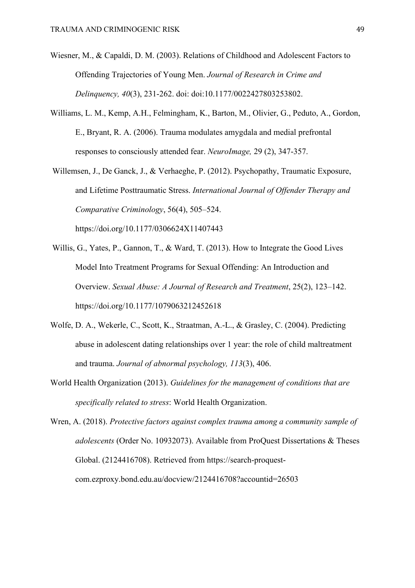- Wiesner, M., & Capaldi, D. M. (2003). Relations of Childhood and Adolescent Factors to Offending Trajectories of Young Men. *Journal of Research in Crime and Delinquency, 40*(3), 231-262. doi: doi:10.1177/0022427803253802.
- Williams, L. M., Kemp, A.H., Felmingham, K., Barton, M., Olivier, G., Peduto, A., Gordon, E., Bryant, R. A. (2006). Trauma modulates amygdala and medial prefrontal responses to consciously attended fear. *NeuroImage,* 29 (2), 347-357.
- Willemsen, J., De Ganck, J., & Verhaeghe, P. (2012). Psychopathy, Traumatic Exposure, and Lifetime Posttraumatic Stress. *International Journal of Offender Therapy and Comparative Criminology*, 56(4), 505–524. https://doi.org/10.1177/0306624X11407443
- Willis, G., Yates, P., Gannon, T., & Ward, T. (2013). How to Integrate the Good Lives
- Model Into Treatment Programs for Sexual Offending: An Introduction and Overview. *Sexual Abuse: A Journal of Research and Treatment*, 25(2), 123–142. <https://doi.org/10.1177/1079063212452618>
- Wolfe, D. A., Wekerle, C., Scott, K., Straatman, A.-L., & Grasley, C. (2004). Predicting abuse in adolescent dating relationships over 1 year: the role of child maltreatment and trauma. *Journal of abnormal psychology, 113*(3), 406.
- World Health Organization (2013). *Guidelines for the management of conditions that are specifically related to stress*: World Health Organization.
- Wren, A. (2018). *Protective factors against complex trauma among a community sample of adolescents* (Order No. 10932073). Available from ProQuest Dissertations & Theses Global. (2124416708). Retrieved from https://search-proquestcom.ezproxy.bond.edu.au/docview/2124416708?accountid=26503